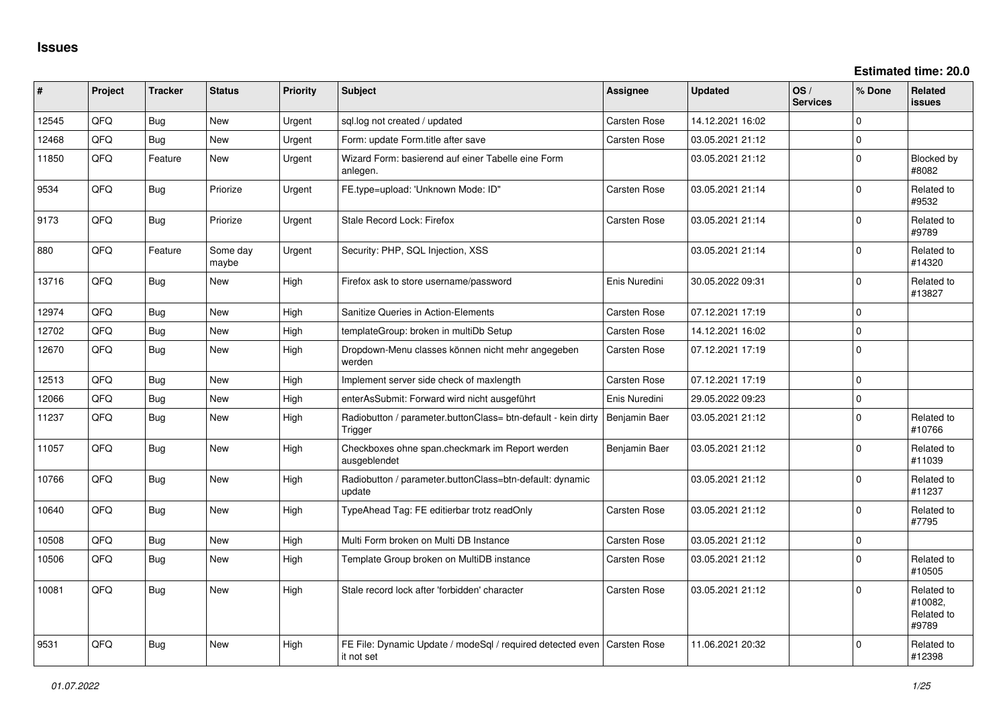**Estimated time: 20.0**

| #     | Project | <b>Tracker</b> | <b>Status</b>     | <b>Priority</b> | <b>Subject</b>                                                                          | Assignee            | <b>Updated</b>   | OS/<br><b>Services</b> | % Done      | Related<br><b>issues</b>                     |
|-------|---------|----------------|-------------------|-----------------|-----------------------------------------------------------------------------------------|---------------------|------------------|------------------------|-------------|----------------------------------------------|
| 12545 | QFQ     | <b>Bug</b>     | <b>New</b>        | Urgent          | sql.log not created / updated                                                           | <b>Carsten Rose</b> | 14.12.2021 16:02 |                        | $\Omega$    |                                              |
| 12468 | QFQ     | <b>Bug</b>     | <b>New</b>        | Urgent          | Form: update Form.title after save                                                      | Carsten Rose        | 03.05.2021 21:12 |                        | $\pmb{0}$   |                                              |
| 11850 | QFQ     | Feature        | New               | Urgent          | Wizard Form: basierend auf einer Tabelle eine Form<br>anlegen.                          |                     | 03.05.2021 21:12 |                        | $\mathbf 0$ | Blocked by<br>#8082                          |
| 9534  | QFQ     | <b>Bug</b>     | Priorize          | Urgent          | FE.type=upload: 'Unknown Mode: ID"                                                      | <b>Carsten Rose</b> | 03.05.2021 21:14 |                        | $\Omega$    | Related to<br>#9532                          |
| 9173  | QFQ     | Bug            | Priorize          | Urgent          | Stale Record Lock: Firefox                                                              | Carsten Rose        | 03.05.2021 21:14 |                        | $\mathbf 0$ | Related to<br>#9789                          |
| 880   | QFQ     | Feature        | Some day<br>maybe | Urgent          | Security: PHP, SQL Injection, XSS                                                       |                     | 03.05.2021 21:14 |                        | $\Omega$    | Related to<br>#14320                         |
| 13716 | QFQ     | <b>Bug</b>     | New               | High            | Firefox ask to store username/password                                                  | Enis Nuredini       | 30.05.2022 09:31 |                        | $\mathbf 0$ | Related to<br>#13827                         |
| 12974 | QFQ     | Bug            | <b>New</b>        | High            | Sanitize Queries in Action-Elements                                                     | <b>Carsten Rose</b> | 07.12.2021 17:19 |                        | $\mathbf 0$ |                                              |
| 12702 | QFQ     | <b>Bug</b>     | <b>New</b>        | High            | templateGroup: broken in multiDb Setup                                                  | Carsten Rose        | 14.12.2021 16:02 |                        | $\mathbf 0$ |                                              |
| 12670 | QFQ     | Bug            | <b>New</b>        | High            | Dropdown-Menu classes können nicht mehr angegeben<br>werden                             | <b>Carsten Rose</b> | 07.12.2021 17:19 |                        | $\mathbf 0$ |                                              |
| 12513 | QFQ     | <b>Bug</b>     | <b>New</b>        | High            | Implement server side check of maxlength                                                | <b>Carsten Rose</b> | 07.12.2021 17:19 |                        | $\mathbf 0$ |                                              |
| 12066 | QFQ     | <b>Bug</b>     | <b>New</b>        | High            | enterAsSubmit: Forward wird nicht ausgeführt                                            | Enis Nuredini       | 29.05.2022 09:23 |                        | $\mathbf 0$ |                                              |
| 11237 | QFQ     | <b>Bug</b>     | New               | High            | Radiobutton / parameter.buttonClass= btn-default - kein dirty<br>Trigger                | Benjamin Baer       | 03.05.2021 21:12 |                        | $\Omega$    | Related to<br>#10766                         |
| 11057 | QFQ     | <b>Bug</b>     | <b>New</b>        | High            | Checkboxes ohne span.checkmark im Report werden<br>ausgeblendet                         | Benjamin Baer       | 03.05.2021 21:12 |                        | $\mathbf 0$ | Related to<br>#11039                         |
| 10766 | QFQ     | Bug            | <b>New</b>        | High            | Radiobutton / parameter.buttonClass=btn-default: dynamic<br>update                      |                     | 03.05.2021 21:12 |                        | $\mathbf 0$ | Related to<br>#11237                         |
| 10640 | QFQ     | <b>Bug</b>     | <b>New</b>        | High            | TypeAhead Tag: FE editierbar trotz readOnly                                             | Carsten Rose        | 03.05.2021 21:12 |                        | $\Omega$    | Related to<br>#7795                          |
| 10508 | QFQ     | <b>Bug</b>     | New               | High            | Multi Form broken on Multi DB Instance                                                  | <b>Carsten Rose</b> | 03.05.2021 21:12 |                        | $\mathbf 0$ |                                              |
| 10506 | QFQ     | <b>Bug</b>     | <b>New</b>        | High            | Template Group broken on MultiDB instance                                               | Carsten Rose        | 03.05.2021 21:12 |                        | $\mathbf 0$ | Related to<br>#10505                         |
| 10081 | QFQ     | <b>Bug</b>     | <b>New</b>        | High            | Stale record lock after 'forbidden' character                                           | <b>Carsten Rose</b> | 03.05.2021 21:12 |                        | $\mathbf 0$ | Related to<br>#10082,<br>Related to<br>#9789 |
| 9531  | QFQ     | <b>Bug</b>     | <b>New</b>        | High            | FE File: Dynamic Update / modeSgl / required detected even   Carsten Rose<br>it not set |                     | 11.06.2021 20:32 |                        | $\Omega$    | Related to<br>#12398                         |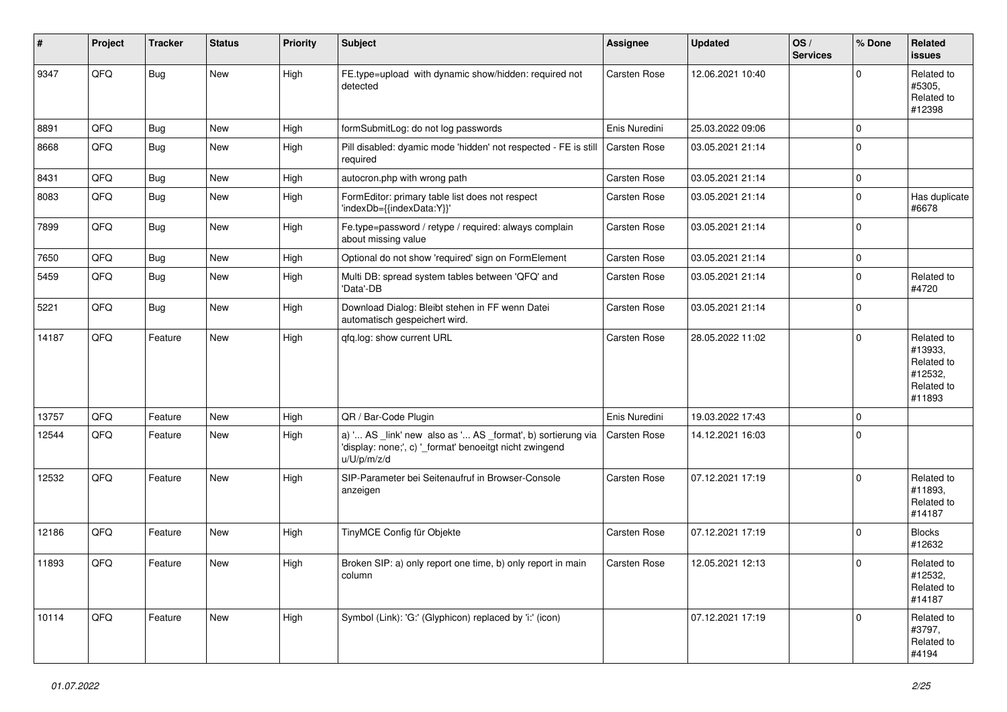| #     | Project | <b>Tracker</b> | <b>Status</b> | <b>Priority</b> | <b>Subject</b>                                                                                                                        | <b>Assignee</b> | <b>Updated</b>   | OS/<br><b>Services</b> | % Done      | Related<br>issues                                                      |
|-------|---------|----------------|---------------|-----------------|---------------------------------------------------------------------------------------------------------------------------------------|-----------------|------------------|------------------------|-------------|------------------------------------------------------------------------|
| 9347  | QFQ     | <b>Bug</b>     | New           | High            | FE.type=upload with dynamic show/hidden: required not<br>detected                                                                     | Carsten Rose    | 12.06.2021 10:40 |                        | $\Omega$    | Related to<br>#5305,<br>Related to<br>#12398                           |
| 8891  | QFQ     | Bug            | <b>New</b>    | High            | formSubmitLog: do not log passwords                                                                                                   | Enis Nuredini   | 25.03.2022 09:06 |                        | $\Omega$    |                                                                        |
| 8668  | QFQ     | Bug            | <b>New</b>    | High            | Pill disabled: dyamic mode 'hidden' not respected - FE is still<br>required                                                           | Carsten Rose    | 03.05.2021 21:14 |                        | $\Omega$    |                                                                        |
| 8431  | QFQ     | <b>Bug</b>     | New           | High            | autocron.php with wrong path                                                                                                          | Carsten Rose    | 03.05.2021 21:14 |                        | 0           |                                                                        |
| 8083  | QFQ     | <b>Bug</b>     | New           | High            | FormEditor: primary table list does not respect<br>'indexDb={{indexData:Y}}'                                                          | Carsten Rose    | 03.05.2021 21:14 |                        | 0           | Has duplicate<br>#6678                                                 |
| 7899  | QFQ     | Bug            | New           | High            | Fe.type=password / retype / required: always complain<br>about missing value                                                          | Carsten Rose    | 03.05.2021 21:14 |                        | $\Omega$    |                                                                        |
| 7650  | QFQ     | Bug            | New           | High            | Optional do not show 'required' sign on FormElement                                                                                   | Carsten Rose    | 03.05.2021 21:14 |                        | $\mathbf 0$ |                                                                        |
| 5459  | QFQ     | Bug            | New           | High            | Multi DB: spread system tables between 'QFQ' and<br>'Data'-DB                                                                         | Carsten Rose    | 03.05.2021 21:14 |                        | 0           | Related to<br>#4720                                                    |
| 5221  | QFQ     | Bug            | New           | High            | Download Dialog: Bleibt stehen in FF wenn Datei<br>automatisch gespeichert wird.                                                      | Carsten Rose    | 03.05.2021 21:14 |                        | $\mathbf 0$ |                                                                        |
| 14187 | QFQ     | Feature        | New           | High            | qfq.log: show current URL                                                                                                             | Carsten Rose    | 28.05.2022 11:02 |                        | $\Omega$    | Related to<br>#13933,<br>Related to<br>#12532,<br>Related to<br>#11893 |
| 13757 | QFQ     | Feature        | New           | High            | QR / Bar-Code Plugin                                                                                                                  | Enis Nuredini   | 19.03.2022 17:43 |                        | $\mathbf 0$ |                                                                        |
| 12544 | QFQ     | Feature        | New           | High            | a) ' AS _link' new also as ' AS _format', b) sortierung via<br>'display: none;', c) '_format' benoeitgt nicht zwingend<br>u/U/p/m/z/d | Carsten Rose    | 14.12.2021 16:03 |                        | $\Omega$    |                                                                        |
| 12532 | QFQ     | Feature        | <b>New</b>    | High            | SIP-Parameter bei Seitenaufruf in Browser-Console<br>anzeigen                                                                         | Carsten Rose    | 07.12.2021 17:19 |                        | $\Omega$    | Related to<br>#11893.<br>Related to<br>#14187                          |
| 12186 | QFQ     | Feature        | New           | High            | TinyMCE Config für Objekte                                                                                                            | Carsten Rose    | 07.12.2021 17:19 |                        | $\Omega$    | <b>Blocks</b><br>#12632                                                |
| 11893 | QFQ     | Feature        | <b>New</b>    | High            | Broken SIP: a) only report one time, b) only report in main<br>column                                                                 | Carsten Rose    | 12.05.2021 12:13 |                        | $\mathbf 0$ | Related to<br>#12532,<br>Related to<br>#14187                          |
| 10114 | QFQ     | Feature        | New           | High            | Symbol (Link): 'G:' (Glyphicon) replaced by 'i:' (icon)                                                                               |                 | 07.12.2021 17:19 |                        | 0           | Related to<br>#3797,<br>Related to<br>#4194                            |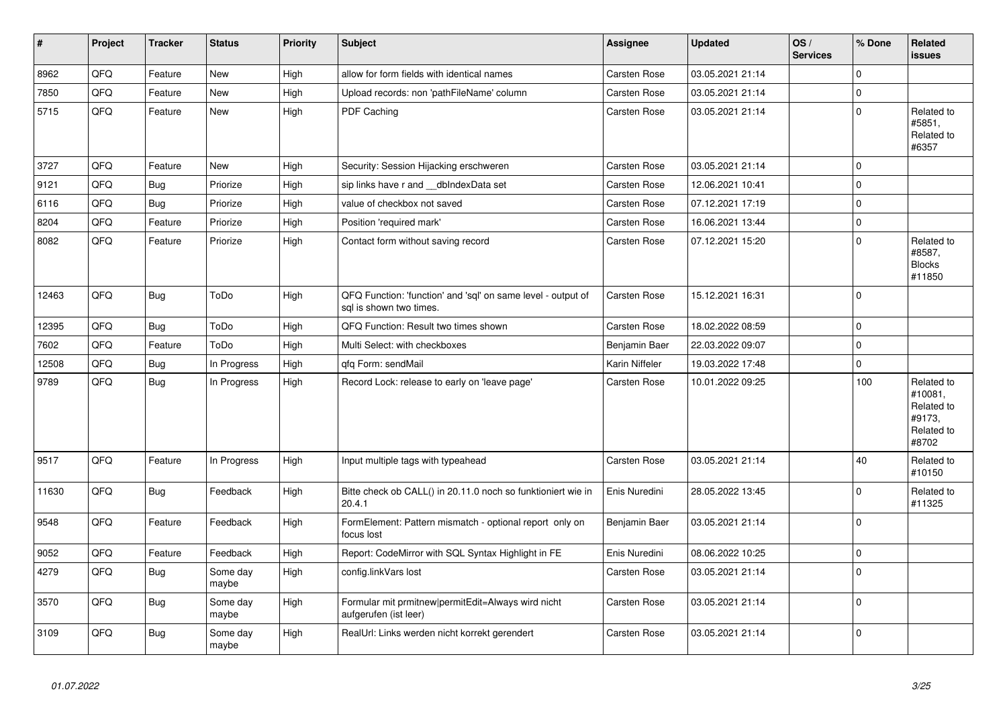| $\vert$ # | Project | <b>Tracker</b> | <b>Status</b>     | <b>Priority</b> | <b>Subject</b>                                                                          | <b>Assignee</b> | <b>Updated</b>   | OS/<br><b>Services</b> | % Done      | Related<br>issues                                                    |
|-----------|---------|----------------|-------------------|-----------------|-----------------------------------------------------------------------------------------|-----------------|------------------|------------------------|-------------|----------------------------------------------------------------------|
| 8962      | QFQ     | Feature        | <b>New</b>        | High            | allow for form fields with identical names                                              | Carsten Rose    | 03.05.2021 21:14 |                        | $\Omega$    |                                                                      |
| 7850      | QFQ     | Feature        | New               | High            | Upload records: non 'pathFileName' column                                               | Carsten Rose    | 03.05.2021 21:14 |                        | $\Omega$    |                                                                      |
| 5715      | QFQ     | Feature        | <b>New</b>        | High            | PDF Caching                                                                             | Carsten Rose    | 03.05.2021 21:14 |                        | $\mathbf 0$ | Related to<br>#5851,<br>Related to<br>#6357                          |
| 3727      | QFQ     | Feature        | New               | High            | Security: Session Hijacking erschweren                                                  | Carsten Rose    | 03.05.2021 21:14 |                        | 0           |                                                                      |
| 9121      | QFQ     | <b>Bug</b>     | Priorize          | High            | sip links have r and __dbIndexData set                                                  | Carsten Rose    | 12.06.2021 10:41 |                        | 0           |                                                                      |
| 6116      | QFQ     | <b>Bug</b>     | Priorize          | High            | value of checkbox not saved                                                             | Carsten Rose    | 07.12.2021 17:19 |                        | 0           |                                                                      |
| 8204      | QFQ     | Feature        | Priorize          | High            | Position 'required mark'                                                                | Carsten Rose    | 16.06.2021 13:44 |                        | $\Omega$    |                                                                      |
| 8082      | QFQ     | Feature        | Priorize          | High            | Contact form without saving record                                                      | Carsten Rose    | 07.12.2021 15:20 |                        | $\Omega$    | Related to<br>#8587,<br><b>Blocks</b><br>#11850                      |
| 12463     | QFQ     | Bug            | ToDo              | High            | QFQ Function: 'function' and 'sql' on same level - output of<br>sql is shown two times. | Carsten Rose    | 15.12.2021 16:31 |                        | $\mathbf 0$ |                                                                      |
| 12395     | QFQ     | <b>Bug</b>     | ToDo              | High            | QFQ Function: Result two times shown                                                    | Carsten Rose    | 18.02.2022 08:59 |                        | 0           |                                                                      |
| 7602      | QFQ     | Feature        | ToDo              | High            | Multi Select: with checkboxes                                                           | Benjamin Baer   | 22.03.2022 09:07 |                        | 0           |                                                                      |
| 12508     | QFQ     | <b>Bug</b>     | In Progress       | High            | qfq Form: sendMail                                                                      | Karin Niffeler  | 19.03.2022 17:48 |                        | $\mathbf 0$ |                                                                      |
| 9789      | QFQ     | Bug            | In Progress       | High            | Record Lock: release to early on 'leave page'                                           | Carsten Rose    | 10.01.2022 09:25 |                        | 100         | Related to<br>#10081,<br>Related to<br>#9173,<br>Related to<br>#8702 |
| 9517      | QFQ     | Feature        | In Progress       | High            | Input multiple tags with typeahead                                                      | Carsten Rose    | 03.05.2021 21:14 |                        | 40          | Related to<br>#10150                                                 |
| 11630     | QFQ     | Bug            | Feedback          | High            | Bitte check ob CALL() in 20.11.0 noch so funktioniert wie in<br>20.4.1                  | Enis Nuredini   | 28.05.2022 13:45 |                        | $\Omega$    | Related to<br>#11325                                                 |
| 9548      | QFQ     | Feature        | Feedback          | High            | FormElement: Pattern mismatch - optional report only on<br>focus lost                   | Benjamin Baer   | 03.05.2021 21:14 |                        | $\Omega$    |                                                                      |
| 9052      | QFQ     | Feature        | Feedback          | High            | Report: CodeMirror with SQL Syntax Highlight in FE                                      | Enis Nuredini   | 08.06.2022 10:25 |                        | $\mathbf 0$ |                                                                      |
| 4279      | QFQ     | <b>Bug</b>     | Some day<br>maybe | High            | config.linkVars lost                                                                    | Carsten Rose    | 03.05.2021 21:14 |                        | $\Omega$    |                                                                      |
| 3570      | QFQ     | Bug            | Some day<br>maybe | High            | Formular mit prmitnew permitEdit=Always wird nicht<br>aufgerufen (ist leer)             | Carsten Rose    | 03.05.2021 21:14 |                        | 0           |                                                                      |
| 3109      | QFQ     | Bug            | Some day<br>maybe | High            | RealUrl: Links werden nicht korrekt gerendert                                           | Carsten Rose    | 03.05.2021 21:14 |                        | $\Omega$    |                                                                      |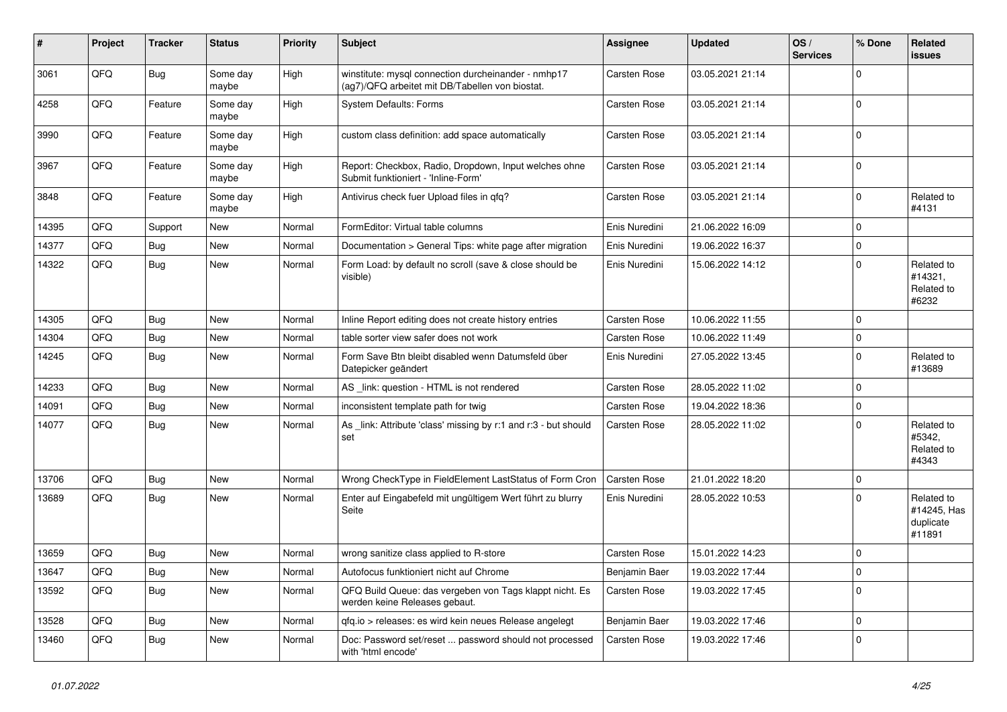| #     | Project | <b>Tracker</b> | <b>Status</b>     | <b>Priority</b> | <b>Subject</b>                                                                                         | <b>Assignee</b> | <b>Updated</b>   | OS/<br><b>Services</b> | % Done      | Related<br>issues                                |
|-------|---------|----------------|-------------------|-----------------|--------------------------------------------------------------------------------------------------------|-----------------|------------------|------------------------|-------------|--------------------------------------------------|
| 3061  | QFQ     | Bug            | Some day<br>maybe | High            | winstitute: mysql connection durcheinander - nmhp17<br>(ag7)/QFQ arbeitet mit DB/Tabellen von biostat. | Carsten Rose    | 03.05.2021 21:14 |                        | $\mathbf 0$ |                                                  |
| 4258  | QFQ     | Feature        | Some day<br>maybe | High            | <b>System Defaults: Forms</b>                                                                          | Carsten Rose    | 03.05.2021 21:14 |                        | $\mathbf 0$ |                                                  |
| 3990  | QFQ     | Feature        | Some day<br>maybe | High            | custom class definition: add space automatically                                                       | Carsten Rose    | 03.05.2021 21:14 |                        | $\mathbf 0$ |                                                  |
| 3967  | QFQ     | Feature        | Some day<br>maybe | High            | Report: Checkbox, Radio, Dropdown, Input welches ohne<br>Submit funktioniert - 'Inline-Form'           | Carsten Rose    | 03.05.2021 21:14 |                        | $\mathbf 0$ |                                                  |
| 3848  | QFQ     | Feature        | Some day<br>maybe | High            | Antivirus check fuer Upload files in qfq?                                                              | Carsten Rose    | 03.05.2021 21:14 |                        | $\mathbf 0$ | Related to<br>#4131                              |
| 14395 | QFQ     | Support        | <b>New</b>        | Normal          | FormEditor: Virtual table columns                                                                      | Enis Nuredini   | 21.06.2022 16:09 |                        | $\Omega$    |                                                  |
| 14377 | QFQ     | Bug            | New               | Normal          | Documentation > General Tips: white page after migration                                               | Enis Nuredini   | 19.06.2022 16:37 |                        | $\pmb{0}$   |                                                  |
| 14322 | QFQ     | Bug            | <b>New</b>        | Normal          | Form Load: by default no scroll (save & close should be<br>visible)                                    | Enis Nuredini   | 15.06.2022 14:12 |                        | $\mathbf 0$ | Related to<br>#14321,<br>Related to<br>#6232     |
| 14305 | QFQ     | <b>Bug</b>     | <b>New</b>        | Normal          | Inline Report editing does not create history entries                                                  | Carsten Rose    | 10.06.2022 11:55 |                        | $\mathbf 0$ |                                                  |
| 14304 | QFQ     | Bug            | <b>New</b>        | Normal          | table sorter view safer does not work                                                                  | Carsten Rose    | 10.06.2022 11:49 |                        | $\mathbf 0$ |                                                  |
| 14245 | QFQ     | Bug            | New               | Normal          | Form Save Btn bleibt disabled wenn Datumsfeld über<br>Datepicker geändert                              | Enis Nuredini   | 27.05.2022 13:45 |                        | $\mathbf 0$ | Related to<br>#13689                             |
| 14233 | QFQ     | <b>Bug</b>     | <b>New</b>        | Normal          | AS _link: question - HTML is not rendered                                                              | Carsten Rose    | 28.05.2022 11:02 |                        | $\mathbf 0$ |                                                  |
| 14091 | QFQ     | Bug            | <b>New</b>        | Normal          | inconsistent template path for twig                                                                    | Carsten Rose    | 19.04.2022 18:36 |                        | $\pmb{0}$   |                                                  |
| 14077 | QFQ     | Bug            | New               | Normal          | As _link: Attribute 'class' missing by r:1 and r:3 - but should<br>set                                 | Carsten Rose    | 28.05.2022 11:02 |                        | $\Omega$    | Related to<br>#5342,<br>Related to<br>#4343      |
| 13706 | QFQ     | Bug            | New               | Normal          | Wrong CheckType in FieldElement LastStatus of Form Cron                                                | Carsten Rose    | 21.01.2022 18:20 |                        | $\pmb{0}$   |                                                  |
| 13689 | QFQ     | Bug            | <b>New</b>        | Normal          | Enter auf Eingabefeld mit ungültigem Wert führt zu blurry<br>Seite                                     | Enis Nuredini   | 28.05.2022 10:53 |                        | $\mathbf 0$ | Related to<br>#14245, Has<br>duplicate<br>#11891 |
| 13659 | QFQ     | <b>Bug</b>     | New               | Normal          | wrong sanitize class applied to R-store                                                                | Carsten Rose    | 15.01.2022 14:23 |                        | 0           |                                                  |
| 13647 | QFQ     | <b>Bug</b>     | New               | Normal          | Autofocus funktioniert nicht auf Chrome                                                                | Benjamin Baer   | 19.03.2022 17:44 |                        | $\mathbf 0$ |                                                  |
| 13592 | QFQ     | <b>Bug</b>     | New               | Normal          | QFQ Build Queue: das vergeben von Tags klappt nicht. Es<br>werden keine Releases gebaut.               | Carsten Rose    | 19.03.2022 17:45 |                        | $\mathbf 0$ |                                                  |
| 13528 | QFQ     | <b>Bug</b>     | <b>New</b>        | Normal          | gfq.io > releases: es wird kein neues Release angelegt                                                 | Benjamin Baer   | 19.03.2022 17:46 |                        | $\mathsf 0$ |                                                  |
| 13460 | QFQ     | <b>Bug</b>     | New               | Normal          | Doc: Password set/reset  password should not processed<br>with 'html encode'                           | Carsten Rose    | 19.03.2022 17:46 |                        | 0           |                                                  |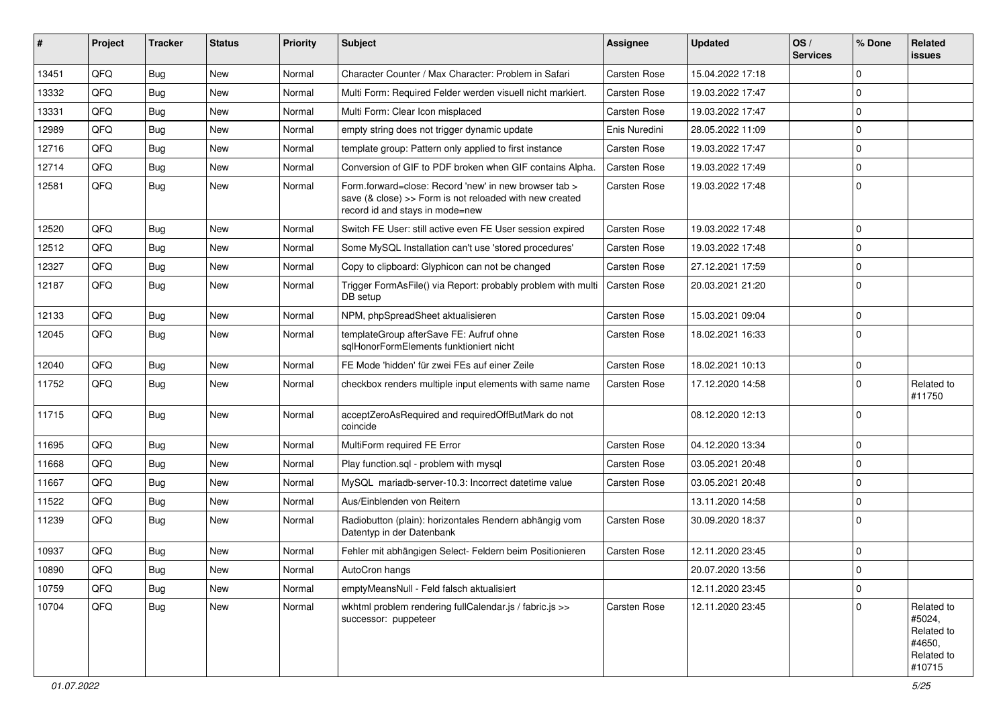| #     | Project | <b>Tracker</b> | <b>Status</b> | <b>Priority</b> | Subject                                                                                                                                             | Assignee      | <b>Updated</b>   | OS/<br><b>Services</b> | % Done      | Related<br><b>issues</b>                                             |
|-------|---------|----------------|---------------|-----------------|-----------------------------------------------------------------------------------------------------------------------------------------------------|---------------|------------------|------------------------|-------------|----------------------------------------------------------------------|
| 13451 | QFQ     | <b>Bug</b>     | <b>New</b>    | Normal          | Character Counter / Max Character: Problem in Safari                                                                                                | Carsten Rose  | 15.04.2022 17:18 |                        | $\mathbf 0$ |                                                                      |
| 13332 | QFQ     | Bug            | New           | Normal          | Multi Form: Required Felder werden visuell nicht markiert.                                                                                          | Carsten Rose  | 19.03.2022 17:47 |                        | $\mathbf 0$ |                                                                      |
| 13331 | QFQ     | <b>Bug</b>     | New           | Normal          | Multi Form: Clear Icon misplaced                                                                                                                    | Carsten Rose  | 19.03.2022 17:47 |                        | $\Omega$    |                                                                      |
| 12989 | QFQ     | <b>Bug</b>     | New           | Normal          | empty string does not trigger dynamic update                                                                                                        | Enis Nuredini | 28.05.2022 11:09 |                        | $\mathbf 0$ |                                                                      |
| 12716 | QFQ     | <b>Bug</b>     | New           | Normal          | template group: Pattern only applied to first instance                                                                                              | Carsten Rose  | 19.03.2022 17:47 |                        | $\mathbf 0$ |                                                                      |
| 12714 | QFQ     | <b>Bug</b>     | New           | Normal          | Conversion of GIF to PDF broken when GIF contains Alpha.                                                                                            | Carsten Rose  | 19.03.2022 17:49 |                        | $\Omega$    |                                                                      |
| 12581 | QFQ     | Bug            | New           | Normal          | Form forward=close: Record 'new' in new browser tab ><br>save (& close) >> Form is not reloaded with new created<br>record id and stays in mode=new | Carsten Rose  | 19.03.2022 17:48 |                        | $\Omega$    |                                                                      |
| 12520 | QFQ     | <b>Bug</b>     | <b>New</b>    | Normal          | Switch FE User: still active even FE User session expired                                                                                           | Carsten Rose  | 19.03.2022 17:48 |                        | $\mathbf 0$ |                                                                      |
| 12512 | QFQ     | <b>Bug</b>     | New           | Normal          | Some MySQL Installation can't use 'stored procedures'                                                                                               | Carsten Rose  | 19.03.2022 17:48 |                        | $\Omega$    |                                                                      |
| 12327 | QFQ     | <b>Bug</b>     | New           | Normal          | Copy to clipboard: Glyphicon can not be changed                                                                                                     | Carsten Rose  | 27.12.2021 17:59 |                        | $\mathbf 0$ |                                                                      |
| 12187 | QFQ     | Bug            | New           | Normal          | Trigger FormAsFile() via Report: probably problem with multi<br>DB setup                                                                            | Carsten Rose  | 20.03.2021 21:20 |                        | $\Omega$    |                                                                      |
| 12133 | QFQ     | <b>Bug</b>     | <b>New</b>    | Normal          | NPM, phpSpreadSheet aktualisieren                                                                                                                   | Carsten Rose  | 15.03.2021 09:04 |                        | $\mathbf 0$ |                                                                      |
| 12045 | QFQ     | <b>Bug</b>     | New           | Normal          | templateGroup afterSave FE: Aufruf ohne<br>sqlHonorFormElements funktioniert nicht                                                                  | Carsten Rose  | 18.02.2021 16:33 |                        | $\mathbf 0$ |                                                                      |
| 12040 | QFQ     | <b>Bug</b>     | <b>New</b>    | Normal          | FE Mode 'hidden' für zwei FEs auf einer Zeile                                                                                                       | Carsten Rose  | 18.02.2021 10:13 |                        | $\pmb{0}$   |                                                                      |
| 11752 | QFQ     | <b>Bug</b>     | New           | Normal          | checkbox renders multiple input elements with same name                                                                                             | Carsten Rose  | 17.12.2020 14:58 |                        | $\mathbf 0$ | Related to<br>#11750                                                 |
| 11715 | QFQ     | Bug            | <b>New</b>    | Normal          | acceptZeroAsRequired and requiredOffButMark do not<br>coincide                                                                                      |               | 08.12.2020 12:13 |                        | $\Omega$    |                                                                      |
| 11695 | QFQ     | Bug            | <b>New</b>    | Normal          | MultiForm required FE Error                                                                                                                         | Carsten Rose  | 04.12.2020 13:34 |                        | $\mathbf 0$ |                                                                      |
| 11668 | QFQ     | <b>Bug</b>     | New           | Normal          | Play function.sql - problem with mysql                                                                                                              | Carsten Rose  | 03.05.2021 20:48 |                        | $\Omega$    |                                                                      |
| 11667 | QFQ     | <b>Bug</b>     | New           | Normal          | MySQL mariadb-server-10.3: Incorrect datetime value                                                                                                 | Carsten Rose  | 03.05.2021 20:48 |                        | $\Omega$    |                                                                      |
| 11522 | QFQ     | <b>Bug</b>     | New           | Normal          | Aus/Einblenden von Reitern                                                                                                                          |               | 13.11.2020 14:58 |                        | $\mathbf 0$ |                                                                      |
| 11239 | QFQ     | Bug            | New           | Normal          | Radiobutton (plain): horizontales Rendern abhängig vom<br>Datentyp in der Datenbank                                                                 | Carsten Rose  | 30.09.2020 18:37 |                        | $\mathbf 0$ |                                                                      |
| 10937 | QFQ     | Bug            | New           | Normal          | Fehler mit abhängigen Select- Feldern beim Positionieren                                                                                            | Carsten Rose  | 12.11.2020 23:45 |                        | $\mathbf 0$ |                                                                      |
| 10890 | QFQ     | Bug            | New           | Normal          | AutoCron hangs                                                                                                                                      |               | 20.07.2020 13:56 |                        | $\mathbf 0$ |                                                                      |
| 10759 | QFQ     | Bug            | New           | Normal          | emptyMeansNull - Feld falsch aktualisiert                                                                                                           |               | 12.11.2020 23:45 |                        | $\mathbf 0$ |                                                                      |
| 10704 | QFQ     | Bug            | New           | Normal          | wkhtml problem rendering fullCalendar.js / fabric.js >><br>successor: puppeteer                                                                     | Carsten Rose  | 12.11.2020 23:45 |                        | $\mathbf 0$ | Related to<br>#5024,<br>Related to<br>#4650,<br>Related to<br>#10715 |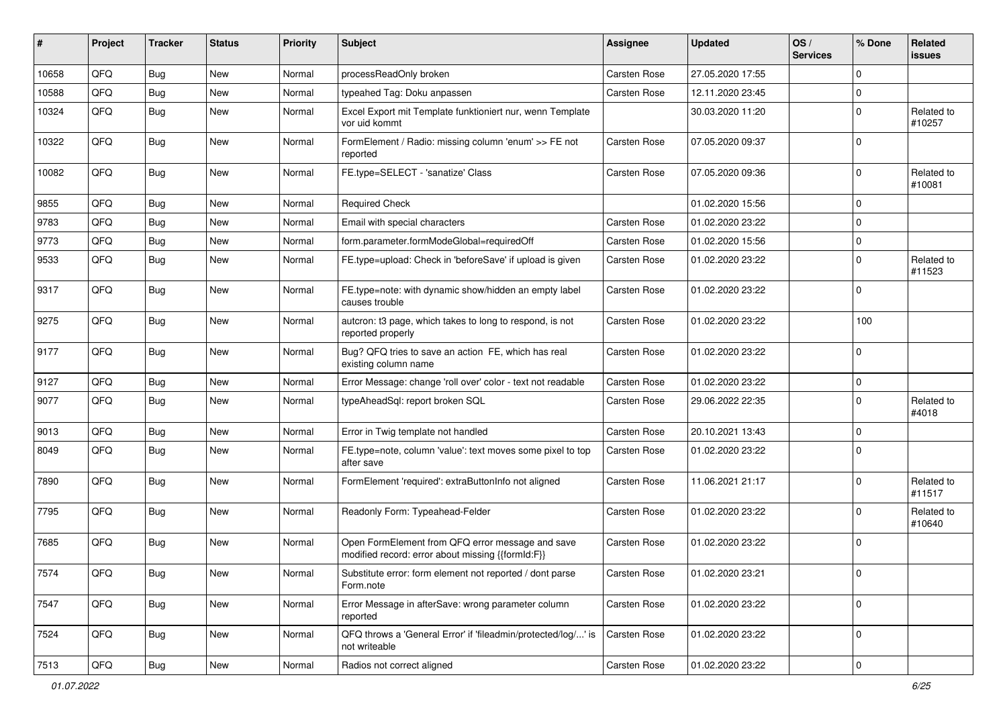| #     | Project | <b>Tracker</b> | <b>Status</b> | <b>Priority</b> | <b>Subject</b>                                                                                        | <b>Assignee</b> | <b>Updated</b>   | OS/<br><b>Services</b> | % Done      | Related<br>issues    |
|-------|---------|----------------|---------------|-----------------|-------------------------------------------------------------------------------------------------------|-----------------|------------------|------------------------|-------------|----------------------|
| 10658 | QFQ     | Bug            | <b>New</b>    | Normal          | processReadOnly broken                                                                                | Carsten Rose    | 27.05.2020 17:55 |                        | $\mathbf 0$ |                      |
| 10588 | QFQ     | Bug            | New           | Normal          | typeahed Tag: Doku anpassen                                                                           | Carsten Rose    | 12.11.2020 23:45 |                        | $\pmb{0}$   |                      |
| 10324 | QFQ     | Bug            | <b>New</b>    | Normal          | Excel Export mit Template funktioniert nur, wenn Template<br>vor uid kommt                            |                 | 30.03.2020 11:20 |                        | $\mathbf 0$ | Related to<br>#10257 |
| 10322 | QFQ     | Bug            | New           | Normal          | FormElement / Radio: missing column 'enum' >> FE not<br>reported                                      | Carsten Rose    | 07.05.2020 09:37 |                        | $\mathbf 0$ |                      |
| 10082 | QFQ     | Bug            | New           | Normal          | FE.type=SELECT - 'sanatize' Class                                                                     | Carsten Rose    | 07.05.2020 09:36 |                        | $\mathbf 0$ | Related to<br>#10081 |
| 9855  | QFQ     | <b>Bug</b>     | <b>New</b>    | Normal          | <b>Required Check</b>                                                                                 |                 | 01.02.2020 15:56 |                        | $\mathbf 0$ |                      |
| 9783  | QFQ     | Bug            | <b>New</b>    | Normal          | Email with special characters                                                                         | Carsten Rose    | 01.02.2020 23:22 |                        | $\mathbf 0$ |                      |
| 9773  | QFQ     | <b>Bug</b>     | <b>New</b>    | Normal          | form.parameter.formModeGlobal=requiredOff                                                             | Carsten Rose    | 01.02.2020 15:56 |                        | $\mathbf 0$ |                      |
| 9533  | QFQ     | Bug            | New           | Normal          | FE.type=upload: Check in 'beforeSave' if upload is given                                              | Carsten Rose    | 01.02.2020 23:22 |                        | $\mathbf 0$ | Related to<br>#11523 |
| 9317  | QFQ     | Bug            | New           | Normal          | FE.type=note: with dynamic show/hidden an empty label<br>causes trouble                               | Carsten Rose    | 01.02.2020 23:22 |                        | $\mathbf 0$ |                      |
| 9275  | QFQ     | Bug            | <b>New</b>    | Normal          | autcron: t3 page, which takes to long to respond, is not<br>reported properly                         | Carsten Rose    | 01.02.2020 23:22 |                        | 100         |                      |
| 9177  | QFQ     | Bug            | New           | Normal          | Bug? QFQ tries to save an action FE, which has real<br>existing column name                           | Carsten Rose    | 01.02.2020 23:22 |                        | $\mathbf 0$ |                      |
| 9127  | QFQ     | <b>Bug</b>     | New           | Normal          | Error Message: change 'roll over' color - text not readable                                           | Carsten Rose    | 01.02.2020 23:22 |                        | $\pmb{0}$   |                      |
| 9077  | QFQ     | Bug            | <b>New</b>    | Normal          | typeAheadSql: report broken SQL                                                                       | Carsten Rose    | 29.06.2022 22:35 |                        | $\pmb{0}$   | Related to<br>#4018  |
| 9013  | QFQ     | Bug            | New           | Normal          | Error in Twig template not handled                                                                    | Carsten Rose    | 20.10.2021 13:43 |                        | $\mathbf 0$ |                      |
| 8049  | QFQ     | <b>Bug</b>     | New           | Normal          | FE.type=note, column 'value': text moves some pixel to top<br>after save                              | Carsten Rose    | 01.02.2020 23:22 |                        | $\mathbf 0$ |                      |
| 7890  | QFQ     | <b>Bug</b>     | New           | Normal          | FormElement 'required': extraButtonInfo not aligned                                                   | Carsten Rose    | 11.06.2021 21:17 |                        | $\mathbf 0$ | Related to<br>#11517 |
| 7795  | QFQ     | <b>Bug</b>     | <b>New</b>    | Normal          | Readonly Form: Typeahead-Felder                                                                       | Carsten Rose    | 01.02.2020 23:22 |                        | $\mathbf 0$ | Related to<br>#10640 |
| 7685  | QFQ     | Bug            | <b>New</b>    | Normal          | Open FormElement from QFQ error message and save<br>modified record: error about missing {{formId:F}} | Carsten Rose    | 01.02.2020 23:22 |                        | $\mathbf 0$ |                      |
| 7574  | QFQ     | Bug            | New           | Normal          | Substitute error: form element not reported / dont parse<br>Form.note                                 | Carsten Rose    | 01.02.2020 23:21 |                        | 0           |                      |
| 7547  | QFQ     | Bug            | New           | Normal          | Error Message in afterSave: wrong parameter column<br>reported                                        | Carsten Rose    | 01.02.2020 23:22 |                        | $\mathbf 0$ |                      |
| 7524  | QFQ     | <b>Bug</b>     | New           | Normal          | QFQ throws a 'General Error' if 'fileadmin/protected/log/' is<br>not writeable                        | Carsten Rose    | 01.02.2020 23:22 |                        | $\mathbf 0$ |                      |
| 7513  | QFG     | Bug            | New           | Normal          | Radios not correct aligned                                                                            | Carsten Rose    | 01.02.2020 23:22 |                        | $\pmb{0}$   |                      |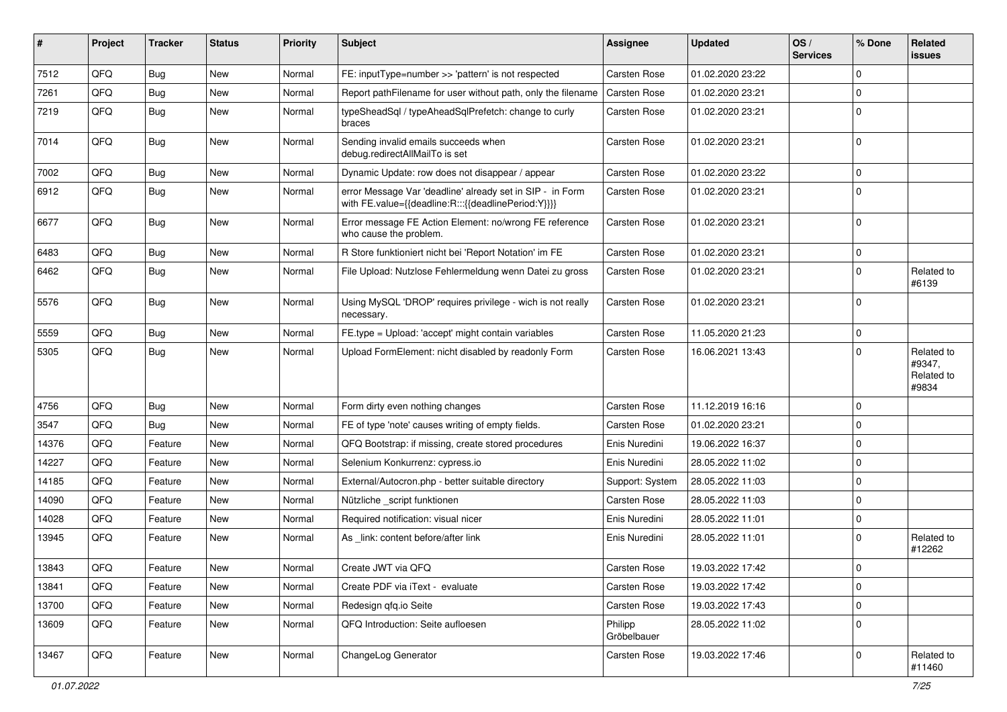| #     | Project | <b>Tracker</b> | <b>Status</b> | <b>Priority</b> | Subject                                                                                                          | Assignee               | <b>Updated</b>   | OS/<br><b>Services</b> | % Done      | Related<br><b>issues</b>                    |
|-------|---------|----------------|---------------|-----------------|------------------------------------------------------------------------------------------------------------------|------------------------|------------------|------------------------|-------------|---------------------------------------------|
| 7512  | QFQ     | Bug            | <b>New</b>    | Normal          | FE: inputType=number >> 'pattern' is not respected                                                               | Carsten Rose           | 01.02.2020 23:22 |                        | $\Omega$    |                                             |
| 7261  | QFQ     | Bug            | <b>New</b>    | Normal          | Report pathFilename for user without path, only the filename                                                     | Carsten Rose           | 01.02.2020 23:21 |                        | $\mathbf 0$ |                                             |
| 7219  | QFQ     | <b>Bug</b>     | New           | Normal          | typeSheadSql / typeAheadSqlPrefetch: change to curly<br>braces                                                   | Carsten Rose           | 01.02.2020 23:21 |                        | $\Omega$    |                                             |
| 7014  | QFQ     | Bug            | New           | Normal          | Sending invalid emails succeeds when<br>debug.redirectAllMailTo is set                                           | Carsten Rose           | 01.02.2020 23:21 |                        | $\mathbf 0$ |                                             |
| 7002  | QFQ     | Bug            | <b>New</b>    | Normal          | Dynamic Update: row does not disappear / appear                                                                  | Carsten Rose           | 01.02.2020 23:22 |                        | $\mathbf 0$ |                                             |
| 6912  | QFQ     | Bug            | New           | Normal          | error Message Var 'deadline' already set in SIP - in Form<br>with FE.value={{deadline:R:::{{deadlinePeriod:Y}}}} | Carsten Rose           | 01.02.2020 23:21 |                        | $\Omega$    |                                             |
| 6677  | QFQ     | Bug            | New           | Normal          | Error message FE Action Element: no/wrong FE reference<br>who cause the problem.                                 | Carsten Rose           | 01.02.2020 23:21 |                        | $\mathbf 0$ |                                             |
| 6483  | QFQ     | Bug            | <b>New</b>    | Normal          | R Store funktioniert nicht bei 'Report Notation' im FE                                                           | Carsten Rose           | 01.02.2020 23:21 |                        | $\mathbf 0$ |                                             |
| 6462  | QFQ     | Bug            | <b>New</b>    | Normal          | File Upload: Nutzlose Fehlermeldung wenn Datei zu gross                                                          | Carsten Rose           | 01.02.2020 23:21 |                        | $\Omega$    | Related to<br>#6139                         |
| 5576  | QFQ     | Bug            | <b>New</b>    | Normal          | Using MySQL 'DROP' requires privilege - wich is not really<br>necessary.                                         | Carsten Rose           | 01.02.2020 23:21 |                        | $\Omega$    |                                             |
| 5559  | QFQ     | <b>Bug</b>     | <b>New</b>    | Normal          | FE.type = Upload: 'accept' might contain variables                                                               | Carsten Rose           | 11.05.2020 21:23 |                        | $\pmb{0}$   |                                             |
| 5305  | QFQ     | Bug            | New           | Normal          | Upload FormElement: nicht disabled by readonly Form                                                              | Carsten Rose           | 16.06.2021 13:43 |                        | $\Omega$    | Related to<br>#9347,<br>Related to<br>#9834 |
| 4756  | QFQ     | Bug            | <b>New</b>    | Normal          | Form dirty even nothing changes                                                                                  | Carsten Rose           | 11.12.2019 16:16 |                        | $\Omega$    |                                             |
| 3547  | QFQ     | Bug            | <b>New</b>    | Normal          | FE of type 'note' causes writing of empty fields.                                                                | Carsten Rose           | 01.02.2020 23:21 |                        | $\Omega$    |                                             |
| 14376 | QFQ     | Feature        | New           | Normal          | QFQ Bootstrap: if missing, create stored procedures                                                              | Enis Nuredini          | 19.06.2022 16:37 |                        | $\mathbf 0$ |                                             |
| 14227 | QFQ     | Feature        | New           | Normal          | Selenium Konkurrenz: cypress.io                                                                                  | Enis Nuredini          | 28.05.2022 11:02 |                        | $\mathbf 0$ |                                             |
| 14185 | QFQ     | Feature        | <b>New</b>    | Normal          | External/Autocron.php - better suitable directory                                                                | Support: System        | 28.05.2022 11:03 |                        | $\mathbf 0$ |                                             |
| 14090 | QFQ     | Feature        | <b>New</b>    | Normal          | Nützliche script funktionen                                                                                      | Carsten Rose           | 28.05.2022 11:03 |                        | $\mathbf 0$ |                                             |
| 14028 | QFQ     | Feature        | <b>New</b>    | Normal          | Required notification: visual nicer                                                                              | Enis Nuredini          | 28.05.2022 11:01 |                        | 0           |                                             |
| 13945 | QFQ     | Feature        | New           | Normal          | As _link: content before/after link                                                                              | Enis Nuredini          | 28.05.2022 11:01 |                        | $\Omega$    | Related to<br>#12262                        |
| 13843 | QFQ     | Feature        | New           | Normal          | Create JWT via QFQ                                                                                               | Carsten Rose           | 19.03.2022 17:42 |                        | 0           |                                             |
| 13841 | QFQ     | Feature        | New           | Normal          | Create PDF via iText - evaluate                                                                                  | Carsten Rose           | 19.03.2022 17:42 |                        | $\pmb{0}$   |                                             |
| 13700 | QFQ     | Feature        | New           | Normal          | Redesign gfg.io Seite                                                                                            | Carsten Rose           | 19.03.2022 17:43 |                        | $\mathbf 0$ |                                             |
| 13609 | QFQ     | Feature        | New           | Normal          | QFQ Introduction: Seite aufloesen                                                                                | Philipp<br>Gröbelbauer | 28.05.2022 11:02 |                        | $\pmb{0}$   |                                             |
| 13467 | QFQ     | Feature        | New           | Normal          | ChangeLog Generator                                                                                              | Carsten Rose           | 19.03.2022 17:46 |                        | $\mathbf 0$ | Related to<br>#11460                        |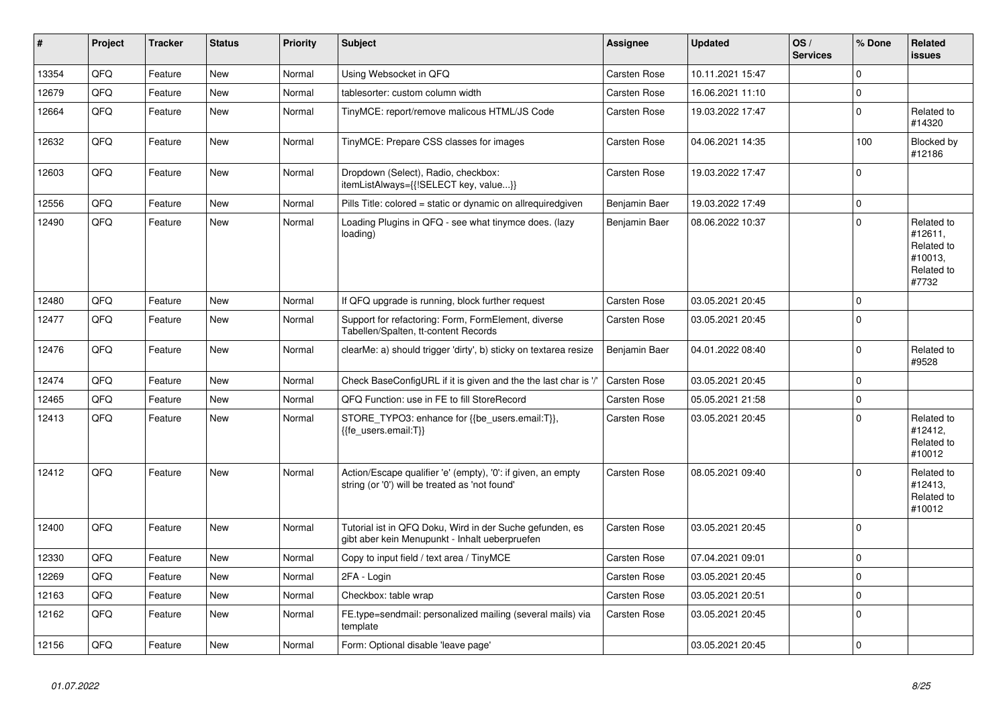| #     | <b>Project</b> | <b>Tracker</b> | <b>Status</b> | <b>Priority</b> | <b>Subject</b>                                                                                                 | Assignee      | <b>Updated</b>   | OS/<br><b>Services</b> | % Done         | Related<br>issues                                                     |
|-------|----------------|----------------|---------------|-----------------|----------------------------------------------------------------------------------------------------------------|---------------|------------------|------------------------|----------------|-----------------------------------------------------------------------|
| 13354 | QFQ            | Feature        | <b>New</b>    | Normal          | Using Websocket in QFQ                                                                                         | Carsten Rose  | 10.11.2021 15:47 |                        | 0              |                                                                       |
| 12679 | QFQ            | Feature        | New           | Normal          | tablesorter: custom column width                                                                               | Carsten Rose  | 16.06.2021 11:10 |                        | 0              |                                                                       |
| 12664 | QFQ            | Feature        | New           | Normal          | TinyMCE: report/remove malicous HTML/JS Code                                                                   | Carsten Rose  | 19.03.2022 17:47 |                        | $\overline{0}$ | Related to<br>#14320                                                  |
| 12632 | QFQ            | Feature        | <b>New</b>    | Normal          | TinyMCE: Prepare CSS classes for images                                                                        | Carsten Rose  | 04.06.2021 14:35 |                        | 100            | Blocked by<br>#12186                                                  |
| 12603 | QFQ            | Feature        | New           | Normal          | Dropdown (Select), Radio, checkbox:<br>itemListAlways={{!SELECT key, value}}                                   | Carsten Rose  | 19.03.2022 17:47 |                        | $\Omega$       |                                                                       |
| 12556 | QFQ            | Feature        | <b>New</b>    | Normal          | Pills Title: colored = static or dynamic on allrequiredgiven                                                   | Benjamin Baer | 19.03.2022 17:49 |                        | $\overline{0}$ |                                                                       |
| 12490 | QFQ            | Feature        | <b>New</b>    | Normal          | Loading Plugins in QFQ - see what tinymce does. (lazy<br>loading)                                              | Benjamin Baer | 08.06.2022 10:37 |                        | $\Omega$       | Related to<br>#12611,<br>Related to<br>#10013.<br>Related to<br>#7732 |
| 12480 | QFQ            | Feature        | <b>New</b>    | Normal          | If QFQ upgrade is running, block further request                                                               | Carsten Rose  | 03.05.2021 20:45 |                        | $\mathbf 0$    |                                                                       |
| 12477 | QFQ            | Feature        | <b>New</b>    | Normal          | Support for refactoring: Form, FormElement, diverse<br>Tabellen/Spalten, tt-content Records                    | Carsten Rose  | 03.05.2021 20:45 |                        | 0              |                                                                       |
| 12476 | QFQ            | Feature        | New           | Normal          | clearMe: a) should trigger 'dirty', b) sticky on textarea resize                                               | Benjamin Baer | 04.01.2022 08:40 |                        | $\Omega$       | Related to<br>#9528                                                   |
| 12474 | QFQ            | Feature        | <b>New</b>    | Normal          | Check BaseConfigURL if it is given and the the last char is '/'                                                | Carsten Rose  | 03.05.2021 20:45 |                        | 0              |                                                                       |
| 12465 | QFQ            | Feature        | <b>New</b>    | Normal          | QFQ Function: use in FE to fill StoreRecord                                                                    | Carsten Rose  | 05.05.2021 21:58 |                        | 0              |                                                                       |
| 12413 | QFQ            | Feature        | New           | Normal          | STORE TYPO3: enhance for {{be users.email:T}},<br>{{fe users.email:T}}                                         | Carsten Rose  | 03.05.2021 20:45 |                        | $\Omega$       | Related to<br>#12412,<br>Related to<br>#10012                         |
| 12412 | QFQ            | Feature        | <b>New</b>    | Normal          | Action/Escape qualifier 'e' (empty), '0': if given, an empty<br>string (or '0') will be treated as 'not found' | Carsten Rose  | 08.05.2021 09:40 |                        | 0              | Related to<br>#12413,<br>Related to<br>#10012                         |
| 12400 | QFQ            | Feature        | <b>New</b>    | Normal          | Tutorial ist in QFQ Doku, Wird in der Suche gefunden, es<br>gibt aber kein Menupunkt - Inhalt ueberpruefen     | Carsten Rose  | 03.05.2021 20:45 |                        | $\overline{0}$ |                                                                       |
| 12330 | QFQ            | Feature        | <b>New</b>    | Normal          | Copy to input field / text area / TinyMCE                                                                      | Carsten Rose  | 07.04.2021 09:01 |                        | 0              |                                                                       |
| 12269 | QFQ            | Feature        | <b>New</b>    | Normal          | 2FA - Login                                                                                                    | Carsten Rose  | 03.05.2021 20:45 |                        | 0              |                                                                       |
| 12163 | QFQ            | Feature        | <b>New</b>    | Normal          | Checkbox: table wrap                                                                                           | Carsten Rose  | 03.05.2021 20:51 |                        | 0              |                                                                       |
| 12162 | QFQ            | Feature        | <b>New</b>    | Normal          | FE.type=sendmail: personalized mailing (several mails) via<br>template                                         | Carsten Rose  | 03.05.2021 20:45 |                        | $\Omega$       |                                                                       |
| 12156 | QFQ            | Feature        | <b>New</b>    | Normal          | Form: Optional disable 'leave page'                                                                            |               | 03.05.2021 20:45 |                        | 0              |                                                                       |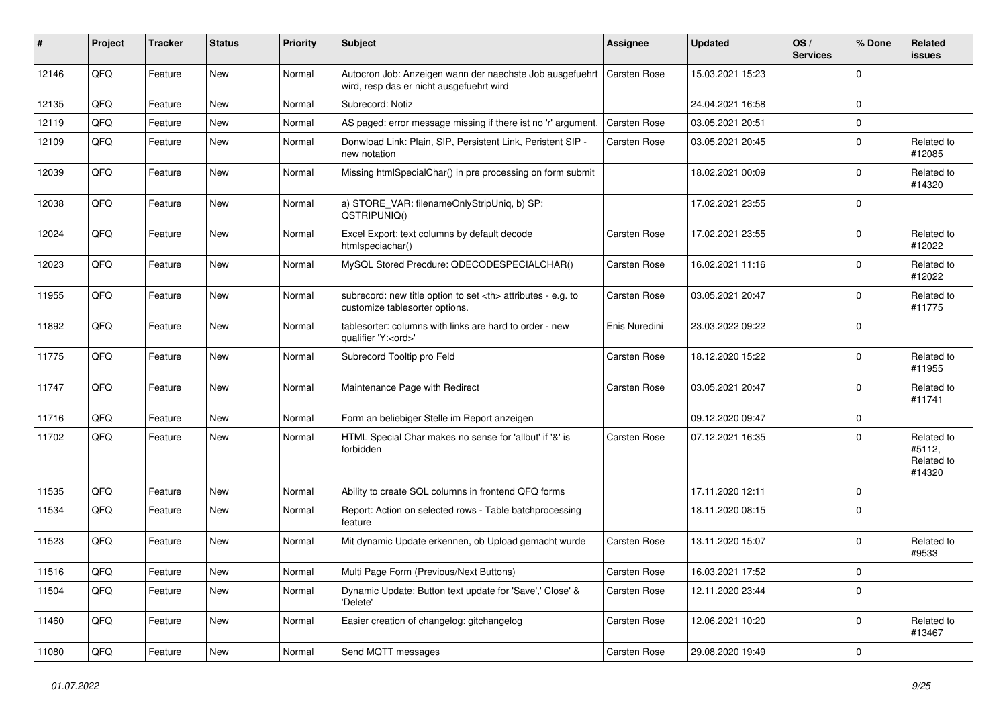| #     | Project | <b>Tracker</b> | <b>Status</b> | <b>Priority</b> | <b>Subject</b>                                                                                       | <b>Assignee</b>                                        | <b>Updated</b>   | OS/<br><b>Services</b> | % Done      | Related<br>issues                            |                      |
|-------|---------|----------------|---------------|-----------------|------------------------------------------------------------------------------------------------------|--------------------------------------------------------|------------------|------------------------|-------------|----------------------------------------------|----------------------|
| 12146 | QFQ     | Feature        | <b>New</b>    | Normal          | Autocron Job: Anzeigen wann der naechste Job ausgefuehrt<br>wird, resp das er nicht ausgefuehrt wird | <b>Carsten Rose</b>                                    | 15.03.2021 15:23 |                        | $\mathbf 0$ |                                              |                      |
| 12135 | QFQ     | Feature        | <b>New</b>    | Normal          | Subrecord: Notiz                                                                                     |                                                        | 24.04.2021 16:58 |                        | 0           |                                              |                      |
| 12119 | QFQ     | Feature        | New           | Normal          | AS paged: error message missing if there ist no 'r' argument.                                        | <b>Carsten Rose</b>                                    | 03.05.2021 20:51 |                        | 0           |                                              |                      |
| 12109 | QFQ     | Feature        | New           | Normal          | Donwload Link: Plain, SIP, Persistent Link, Peristent SIP -<br>new notation                          | Carsten Rose                                           | 03.05.2021 20:45 |                        | 0           | Related to<br>#12085                         |                      |
| 12039 | QFQ     | Feature        | New           | Normal          | Missing htmlSpecialChar() in pre processing on form submit                                           |                                                        | 18.02.2021 00:09 |                        | $\mathbf 0$ | Related to<br>#14320                         |                      |
| 12038 | QFQ     | Feature        | <b>New</b>    | Normal          | a) STORE_VAR: filenameOnlyStripUniq, b) SP:<br>QSTRIPUNIQ()                                          |                                                        | 17.02.2021 23:55 |                        | $\mathbf 0$ |                                              |                      |
| 12024 | QFQ     | Feature        | <b>New</b>    | Normal          | Excel Export: text columns by default decode<br>htmlspeciachar()                                     | Carsten Rose                                           | 17.02.2021 23:55 |                        | 0           | Related to<br>#12022                         |                      |
| 12023 | QFQ     | Feature        | New           | Normal          | MySQL Stored Precdure: QDECODESPECIALCHAR()                                                          | Carsten Rose                                           | 16.02.2021 11:16 |                        | $\mathbf 0$ | Related to<br>#12022                         |                      |
| 11955 | QFQ     | Feature        | New           | Normal          | subrecord: new title option to set <th> attributes - e.g. to<br/>customize tablesorter options.</th> | attributes - e.g. to<br>customize tablesorter options. | Carsten Rose     | 03.05.2021 20:47       |             | $\Omega$                                     | Related to<br>#11775 |
| 11892 | QFQ     | Feature        | <b>New</b>    | Normal          | tablesorter: columns with links are hard to order - new<br>qualifier 'Y: <ord>'</ord>                | Enis Nuredini                                          | 23.03.2022 09:22 |                        | $\Omega$    |                                              |                      |
| 11775 | QFQ     | Feature        | <b>New</b>    | Normal          | Subrecord Tooltip pro Feld                                                                           | Carsten Rose                                           | 18.12.2020 15:22 |                        | $\Omega$    | Related to<br>#11955                         |                      |
| 11747 | QFQ     | Feature        | New           | Normal          | Maintenance Page with Redirect                                                                       | Carsten Rose                                           | 03.05.2021 20:47 |                        | $\mathbf 0$ | Related to<br>#11741                         |                      |
| 11716 | QFQ     | Feature        | <b>New</b>    | Normal          | Form an beliebiger Stelle im Report anzeigen                                                         |                                                        | 09.12.2020 09:47 |                        | $\mathbf 0$ |                                              |                      |
| 11702 | QFQ     | Feature        | New           | Normal          | HTML Special Char makes no sense for 'allbut' if '&' is<br>forbidden                                 | Carsten Rose                                           | 07.12.2021 16:35 |                        | $\Omega$    | Related to<br>#5112,<br>Related to<br>#14320 |                      |
| 11535 | QFQ     | Feature        | <b>New</b>    | Normal          | Ability to create SQL columns in frontend QFQ forms                                                  |                                                        | 17.11.2020 12:11 |                        | 0           |                                              |                      |
| 11534 | QFQ     | Feature        | New           | Normal          | Report: Action on selected rows - Table batchprocessing<br>feature                                   |                                                        | 18.11.2020 08:15 |                        | $\mathbf 0$ |                                              |                      |
| 11523 | QFQ     | Feature        | New           | Normal          | Mit dynamic Update erkennen, ob Upload gemacht wurde                                                 | Carsten Rose                                           | 13.11.2020 15:07 |                        | $\Omega$    | Related to<br>#9533                          |                      |
| 11516 | QFQ     | Feature        | New           | Normal          | Multi Page Form (Previous/Next Buttons)                                                              | Carsten Rose                                           | 16.03.2021 17:52 |                        | 1 O         |                                              |                      |
| 11504 | QFQ     | Feature        | New           | Normal          | Dynamic Update: Button text update for 'Save',' Close' &<br>'Delete'                                 | Carsten Rose                                           | 12.11.2020 23:44 |                        | $\mathbf 0$ |                                              |                      |
| 11460 | QFQ     | Feature        | New           | Normal          | Easier creation of changelog: gitchangelog                                                           | Carsten Rose                                           | 12.06.2021 10:20 |                        | $\mathbf 0$ | Related to<br>#13467                         |                      |
| 11080 | QFQ     | Feature        | New           | Normal          | Send MQTT messages                                                                                   | Carsten Rose                                           | 29.08.2020 19:49 |                        | $\mathbf 0$ |                                              |                      |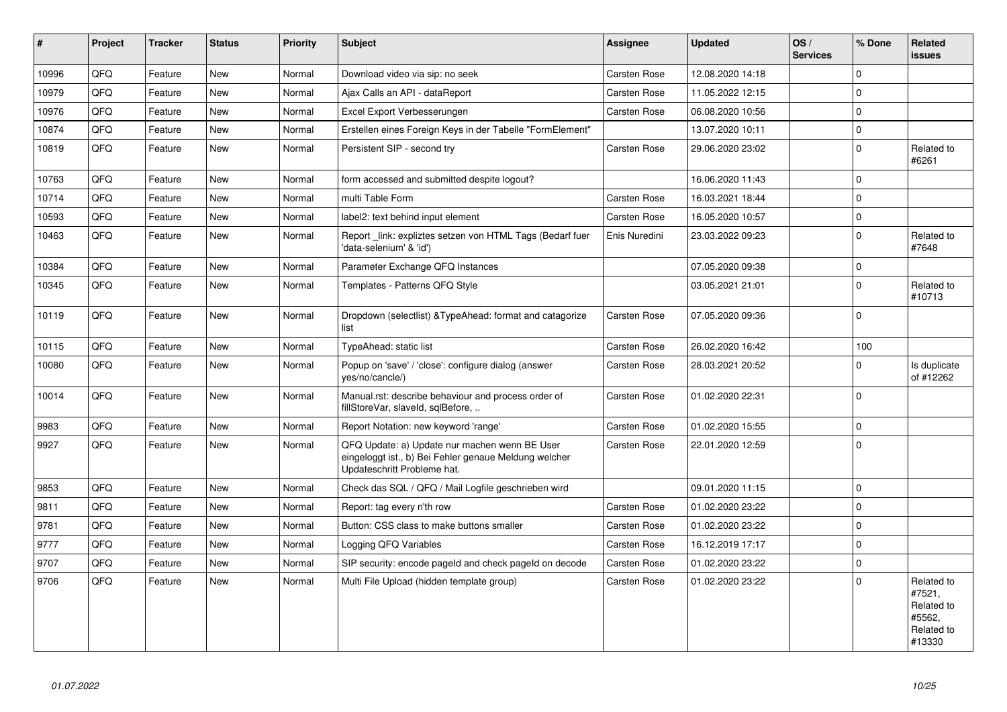| #     | Project | <b>Tracker</b> | <b>Status</b> | <b>Priority</b> | <b>Subject</b>                                                                                                                        | Assignee            | <b>Updated</b>   | OS/<br><b>Services</b> | % Done      | Related<br><b>issues</b>                                             |
|-------|---------|----------------|---------------|-----------------|---------------------------------------------------------------------------------------------------------------------------------------|---------------------|------------------|------------------------|-------------|----------------------------------------------------------------------|
| 10996 | QFQ     | Feature        | <b>New</b>    | Normal          | Download video via sip: no seek                                                                                                       | <b>Carsten Rose</b> | 12.08.2020 14:18 |                        | $\Omega$    |                                                                      |
| 10979 | QFQ     | Feature        | New           | Normal          | Ajax Calls an API - dataReport                                                                                                        | Carsten Rose        | 11.05.2022 12:15 |                        | $\Omega$    |                                                                      |
| 10976 | QFQ     | Feature        | <b>New</b>    | Normal          | Excel Export Verbesserungen                                                                                                           | Carsten Rose        | 06.08.2020 10:56 |                        | $\Omega$    |                                                                      |
| 10874 | QFQ     | Feature        | New           | Normal          | Erstellen eines Foreign Keys in der Tabelle "FormElement"                                                                             |                     | 13.07.2020 10:11 |                        | $\mathbf 0$ |                                                                      |
| 10819 | QFQ     | Feature        | <b>New</b>    | Normal          | Persistent SIP - second try                                                                                                           | Carsten Rose        | 29.06.2020 23:02 |                        | $\Omega$    | Related to<br>#6261                                                  |
| 10763 | QFQ     | Feature        | <b>New</b>    | Normal          | form accessed and submitted despite logout?                                                                                           |                     | 16.06.2020 11:43 |                        | $\Omega$    |                                                                      |
| 10714 | QFQ     | Feature        | <b>New</b>    | Normal          | multi Table Form                                                                                                                      | <b>Carsten Rose</b> | 16.03.2021 18:44 |                        | $\mathbf 0$ |                                                                      |
| 10593 | QFQ     | Feature        | <b>New</b>    | Normal          | label2: text behind input element                                                                                                     | Carsten Rose        | 16.05.2020 10:57 |                        | $\mathbf 0$ |                                                                      |
| 10463 | QFQ     | Feature        | <b>New</b>    | Normal          | Report _link: expliztes setzen von HTML Tags (Bedarf fuer<br>'data-selenium' & 'id')                                                  | Enis Nuredini       | 23.03.2022 09:23 |                        | $\Omega$    | Related to<br>#7648                                                  |
| 10384 | QFQ     | Feature        | <b>New</b>    | Normal          | Parameter Exchange QFQ Instances                                                                                                      |                     | 07.05.2020 09:38 |                        | $\mathbf 0$ |                                                                      |
| 10345 | QFQ     | Feature        | <b>New</b>    | Normal          | Templates - Patterns QFQ Style                                                                                                        |                     | 03.05.2021 21:01 |                        | $\mathbf 0$ | Related to<br>#10713                                                 |
| 10119 | QFQ     | Feature        | <b>New</b>    | Normal          | Dropdown (selectlist) & Type Ahead: format and catagorize<br>list                                                                     | Carsten Rose        | 07.05.2020 09:36 |                        | $\mathbf 0$ |                                                                      |
| 10115 | QFQ     | Feature        | <b>New</b>    | Normal          | TypeAhead: static list                                                                                                                | Carsten Rose        | 26.02.2020 16:42 |                        | 100         |                                                                      |
| 10080 | QFQ     | Feature        | <b>New</b>    | Normal          | Popup on 'save' / 'close': configure dialog (answer<br>yes/no/cancle/)                                                                | Carsten Rose        | 28.03.2021 20:52 |                        | $\mathbf 0$ | Is duplicate<br>of #12262                                            |
| 10014 | QFQ     | Feature        | <b>New</b>    | Normal          | Manual.rst: describe behaviour and process order of<br>fillStoreVar, slaveId, sqlBefore,                                              | Carsten Rose        | 01.02.2020 22:31 |                        | $\mathbf 0$ |                                                                      |
| 9983  | QFQ     | Feature        | New           | Normal          | Report Notation: new keyword 'range'                                                                                                  | Carsten Rose        | 01.02.2020 15:55 |                        | $\mathbf 0$ |                                                                      |
| 9927  | QFQ     | Feature        | New           | Normal          | QFQ Update: a) Update nur machen wenn BE User<br>eingeloggt ist., b) Bei Fehler genaue Meldung welcher<br>Updateschritt Probleme hat. | Carsten Rose        | 22.01.2020 12:59 |                        | $\mathbf 0$ |                                                                      |
| 9853  | QFQ     | Feature        | <b>New</b>    | Normal          | Check das SQL / QFQ / Mail Logfile geschrieben wird                                                                                   |                     | 09.01.2020 11:15 |                        | $\mathbf 0$ |                                                                      |
| 9811  | QFQ     | Feature        | <b>New</b>    | Normal          | Report: tag every n'th row                                                                                                            | Carsten Rose        | 01.02.2020 23:22 |                        | $\mathbf 0$ |                                                                      |
| 9781  | QFQ     | Feature        | New           | Normal          | Button: CSS class to make buttons smaller                                                                                             | Carsten Rose        | 01.02.2020 23:22 |                        | $\Omega$    |                                                                      |
| 9777  | QFQ     | Feature        | New           | Normal          | Logging QFQ Variables                                                                                                                 | Carsten Rose        | 16.12.2019 17:17 |                        | $\mathbf 0$ |                                                                      |
| 9707  | QFQ     | Feature        | New           | Normal          | SIP security: encode pageld and check pageld on decode                                                                                | Carsten Rose        | 01.02.2020 23:22 |                        | $\mathbf 0$ |                                                                      |
| 9706  | QFQ     | Feature        | <b>New</b>    | Normal          | Multi File Upload (hidden template group)                                                                                             | <b>Carsten Rose</b> | 01.02.2020 23:22 |                        | $\Omega$    | Related to<br>#7521,<br>Related to<br>#5562.<br>Related to<br>#13330 |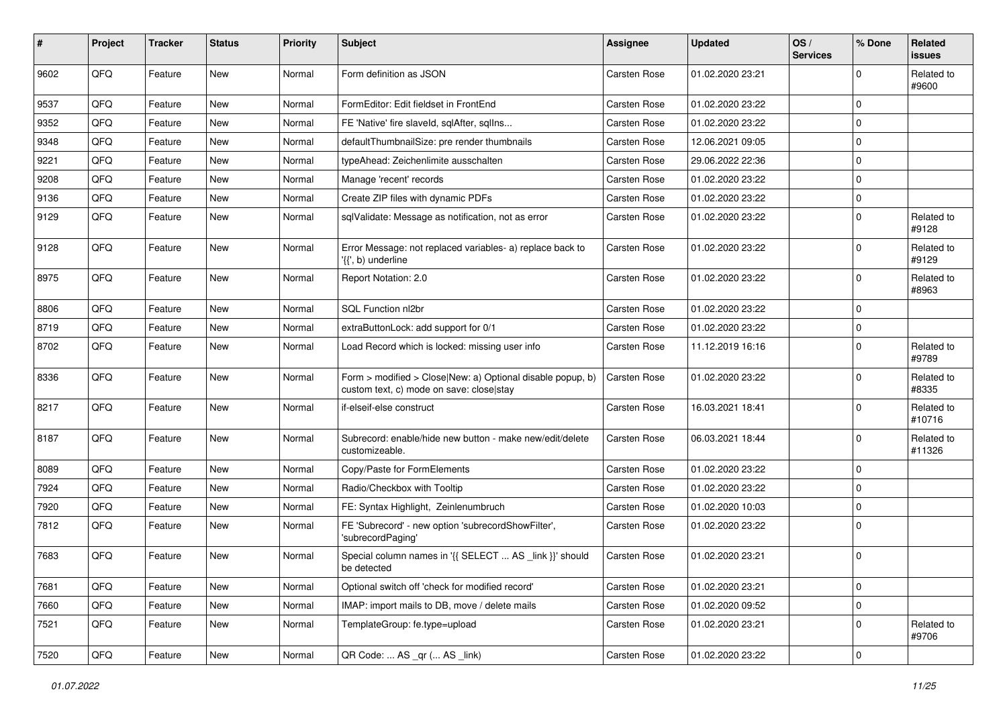| #    | Project | <b>Tracker</b> | <b>Status</b> | <b>Priority</b> | <b>Subject</b>                                                                                         | Assignee     | <b>Updated</b>   | OS/<br><b>Services</b> | % Done      | Related<br>issues    |
|------|---------|----------------|---------------|-----------------|--------------------------------------------------------------------------------------------------------|--------------|------------------|------------------------|-------------|----------------------|
| 9602 | QFQ     | Feature        | New           | Normal          | Form definition as JSON                                                                                | Carsten Rose | 01.02.2020 23:21 |                        | $\Omega$    | Related to<br>#9600  |
| 9537 | QFQ     | Feature        | New           | Normal          | FormEditor: Edit fieldset in FrontEnd                                                                  | Carsten Rose | 01.02.2020 23:22 |                        | $\Omega$    |                      |
| 9352 | QFQ     | Feature        | New           | Normal          | FE 'Native' fire slaveld, sqlAfter, sqllns                                                             | Carsten Rose | 01.02.2020 23:22 |                        | $\mathbf 0$ |                      |
| 9348 | QFQ     | Feature        | New           | Normal          | defaultThumbnailSize: pre render thumbnails                                                            | Carsten Rose | 12.06.2021 09:05 |                        | $\mathbf 0$ |                      |
| 9221 | QFQ     | Feature        | New           | Normal          | typeAhead: Zeichenlimite ausschalten                                                                   | Carsten Rose | 29.06.2022 22:36 |                        | $\Omega$    |                      |
| 9208 | QFQ     | Feature        | New           | Normal          | Manage 'recent' records                                                                                | Carsten Rose | 01.02.2020 23:22 |                        | $\mathbf 0$ |                      |
| 9136 | QFQ     | Feature        | New           | Normal          | Create ZIP files with dynamic PDFs                                                                     | Carsten Rose | 01.02.2020 23:22 |                        | $\Omega$    |                      |
| 9129 | QFQ     | Feature        | New           | Normal          | sqlValidate: Message as notification, not as error                                                     | Carsten Rose | 01.02.2020 23:22 |                        | $\mathbf 0$ | Related to<br>#9128  |
| 9128 | QFQ     | Feature        | New           | Normal          | Error Message: not replaced variables- a) replace back to<br>'{{', b) underline                        | Carsten Rose | 01.02.2020 23:22 |                        | $\mathbf 0$ | Related to<br>#9129  |
| 8975 | QFQ     | Feature        | <b>New</b>    | Normal          | Report Notation: 2.0                                                                                   | Carsten Rose | 01.02.2020 23:22 |                        | 0           | Related to<br>#8963  |
| 8806 | QFQ     | Feature        | <b>New</b>    | Normal          | SQL Function nl2br                                                                                     | Carsten Rose | 01.02.2020 23:22 |                        | $\mathbf 0$ |                      |
| 8719 | QFQ     | Feature        | New           | Normal          | extraButtonLock: add support for 0/1                                                                   | Carsten Rose | 01.02.2020 23:22 |                        | $\mathbf 0$ |                      |
| 8702 | QFQ     | Feature        | New           | Normal          | Load Record which is locked: missing user info                                                         | Carsten Rose | 11.12.2019 16:16 |                        | $\Omega$    | Related to<br>#9789  |
| 8336 | QFQ     | Feature        | New           | Normal          | Form > modified > Close New: a) Optional disable popup, b)<br>custom text, c) mode on save: close stay | Carsten Rose | 01.02.2020 23:22 |                        | $\Omega$    | Related to<br>#8335  |
| 8217 | QFQ     | Feature        | New           | Normal          | if-elseif-else construct                                                                               | Carsten Rose | 16.03.2021 18:41 |                        | $\mathbf 0$ | Related to<br>#10716 |
| 8187 | QFQ     | Feature        | <b>New</b>    | Normal          | Subrecord: enable/hide new button - make new/edit/delete<br>customizeable.                             | Carsten Rose | 06.03.2021 18:44 |                        | $\Omega$    | Related to<br>#11326 |
| 8089 | QFQ     | Feature        | New           | Normal          | Copy/Paste for FormElements                                                                            | Carsten Rose | 01.02.2020 23:22 |                        | $\mathbf 0$ |                      |
| 7924 | QFQ     | Feature        | <b>New</b>    | Normal          | Radio/Checkbox with Tooltip                                                                            | Carsten Rose | 01.02.2020 23:22 |                        | $\mathbf 0$ |                      |
| 7920 | QFQ     | Feature        | New           | Normal          | FE: Syntax Highlight, Zeinlenumbruch                                                                   | Carsten Rose | 01.02.2020 10:03 |                        | $\Omega$    |                      |
| 7812 | QFQ     | Feature        | New           | Normal          | FE 'Subrecord' - new option 'subrecordShowFilter',<br>'subrecordPaging'                                | Carsten Rose | 01.02.2020 23:22 |                        | $\Omega$    |                      |
| 7683 | QFQ     | Feature        | New           | Normal          | Special column names in '{{ SELECT  AS _link }}' should<br>be detected                                 | Carsten Rose | 01.02.2020 23:21 |                        | $\mathbf 0$ |                      |
| 7681 | QFQ     | Feature        | New           | Normal          | Optional switch off 'check for modified record'                                                        | Carsten Rose | 01.02.2020 23:21 |                        | $\mathbf 0$ |                      |
| 7660 | QFQ     | Feature        | New           | Normal          | IMAP: import mails to DB, move / delete mails                                                          | Carsten Rose | 01.02.2020 09:52 |                        | $\mathbf 0$ |                      |
| 7521 | QFQ     | Feature        | New           | Normal          | TemplateGroup: fe.type=upload                                                                          | Carsten Rose | 01.02.2020 23:21 |                        | $\mathbf 0$ | Related to<br>#9706  |
| 7520 | QFQ     | Feature        | New           | Normal          | QR Code:  AS _qr ( AS _link)                                                                           | Carsten Rose | 01.02.2020 23:22 |                        | 0           |                      |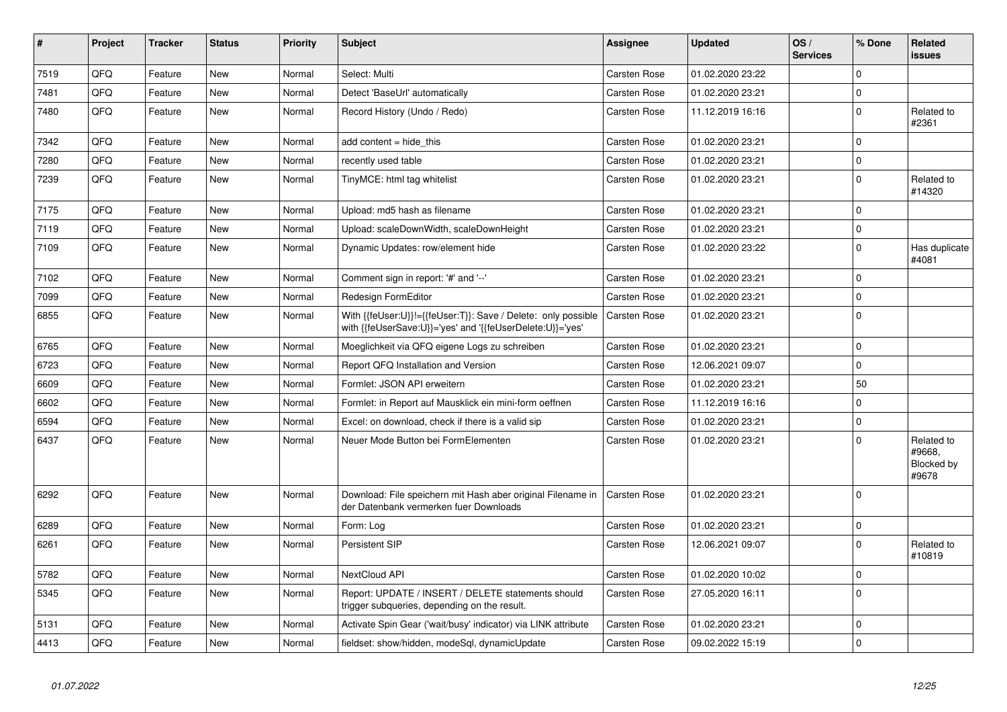| #    | <b>Project</b> | <b>Tracker</b> | <b>Status</b> | <b>Priority</b> | <b>Subject</b>                                                                                                             | <b>Assignee</b>     | <b>Updated</b>   | OS/<br><b>Services</b> | % Done      | Related<br><b>issues</b>                    |
|------|----------------|----------------|---------------|-----------------|----------------------------------------------------------------------------------------------------------------------------|---------------------|------------------|------------------------|-------------|---------------------------------------------|
| 7519 | QFQ            | Feature        | New           | Normal          | Select: Multi                                                                                                              | Carsten Rose        | 01.02.2020 23:22 |                        | $\mathbf 0$ |                                             |
| 7481 | QFQ            | Feature        | New           | Normal          | Detect 'BaseUrl' automatically                                                                                             | Carsten Rose        | 01.02.2020 23:21 |                        | 0           |                                             |
| 7480 | QFQ            | Feature        | New           | Normal          | Record History (Undo / Redo)                                                                                               | Carsten Rose        | 11.12.2019 16:16 |                        | $\mathbf 0$ | Related to<br>#2361                         |
| 7342 | QFQ            | Feature        | New           | Normal          | add content = hide this                                                                                                    | Carsten Rose        | 01.02.2020 23:21 |                        | $\mathbf 0$ |                                             |
| 7280 | QFQ            | Feature        | <b>New</b>    | Normal          | recently used table                                                                                                        | Carsten Rose        | 01.02.2020 23:21 |                        | $\mathbf 0$ |                                             |
| 7239 | QFQ            | Feature        | New           | Normal          | TinyMCE: html tag whitelist                                                                                                | Carsten Rose        | 01.02.2020 23:21 |                        | $\Omega$    | Related to<br>#14320                        |
| 7175 | QFQ            | Feature        | New           | Normal          | Upload: md5 hash as filename                                                                                               | Carsten Rose        | 01.02.2020 23:21 |                        | $\mathbf 0$ |                                             |
| 7119 | QFQ            | Feature        | New           | Normal          | Upload: scaleDownWidth, scaleDownHeight                                                                                    | Carsten Rose        | 01.02.2020 23:21 |                        | $\mathbf 0$ |                                             |
| 7109 | QFQ            | Feature        | New           | Normal          | Dynamic Updates: row/element hide                                                                                          | Carsten Rose        | 01.02.2020 23:22 |                        | $\pmb{0}$   | Has duplicate<br>#4081                      |
| 7102 | QFQ            | Feature        | New           | Normal          | Comment sign in report: '#' and '--'                                                                                       | Carsten Rose        | 01.02.2020 23:21 |                        | $\Omega$    |                                             |
| 7099 | QFQ            | Feature        | New           | Normal          | Redesign FormEditor                                                                                                        | Carsten Rose        | 01.02.2020 23:21 |                        | $\mathbf 0$ |                                             |
| 6855 | QFQ            | Feature        | New           | Normal          | With {{feUser:U}}!={{feUser:T}}: Save / Delete: only possible<br>with {{feUserSave:U}}='yes' and '{{feUserDelete:U}}='yes' | Carsten Rose        | 01.02.2020 23:21 |                        | $\Omega$    |                                             |
| 6765 | QFQ            | Feature        | New           | Normal          | Moeglichkeit via QFQ eigene Logs zu schreiben                                                                              | Carsten Rose        | 01.02.2020 23:21 |                        | $\mathbf 0$ |                                             |
| 6723 | QFQ            | Feature        | New           | Normal          | Report QFQ Installation and Version                                                                                        | Carsten Rose        | 12.06.2021 09:07 |                        | $\Omega$    |                                             |
| 6609 | QFQ            | Feature        | New           | Normal          | Formlet: JSON API erweitern                                                                                                | Carsten Rose        | 01.02.2020 23:21 |                        | 50          |                                             |
| 6602 | QFQ            | Feature        | New           | Normal          | Formlet: in Report auf Mausklick ein mini-form oeffnen                                                                     | Carsten Rose        | 11.12.2019 16:16 |                        | $\mathbf 0$ |                                             |
| 6594 | QFQ            | Feature        | New           | Normal          | Excel: on download, check if there is a valid sip                                                                          | Carsten Rose        | 01.02.2020 23:21 |                        | $\mathbf 0$ |                                             |
| 6437 | QFQ            | Feature        | New           | Normal          | Neuer Mode Button bei FormElementen                                                                                        | Carsten Rose        | 01.02.2020 23:21 |                        | $\Omega$    | Related to<br>#9668.<br>Blocked by<br>#9678 |
| 6292 | QFQ            | Feature        | <b>New</b>    | Normal          | Download: File speichern mit Hash aber original Filename in<br>der Datenbank vermerken fuer Downloads                      | <b>Carsten Rose</b> | 01.02.2020 23:21 |                        | $\mathbf 0$ |                                             |
| 6289 | QFQ            | Feature        | <b>New</b>    | Normal          | Form: Log                                                                                                                  | Carsten Rose        | 01.02.2020 23:21 |                        | $\mathbf 0$ |                                             |
| 6261 | QFQ            | Feature        | <b>New</b>    | Normal          | Persistent SIP                                                                                                             | Carsten Rose        | 12.06.2021 09:07 |                        | $\Omega$    | Related to<br>#10819                        |
| 5782 | QFQ            | Feature        | <b>New</b>    | Normal          | NextCloud API                                                                                                              | Carsten Rose        | 01.02.2020 10:02 |                        | $\mathbf 0$ |                                             |
| 5345 | QFQ            | Feature        | <b>New</b>    | Normal          | Report: UPDATE / INSERT / DELETE statements should<br>trigger subqueries, depending on the result.                         | Carsten Rose        | 27.05.2020 16:11 |                        | $\Omega$    |                                             |
| 5131 | QFQ            | Feature        | <b>New</b>    | Normal          | Activate Spin Gear ('wait/busy' indicator) via LINK attribute                                                              | Carsten Rose        | 01.02.2020 23:21 |                        | $\mathbf 0$ |                                             |
| 4413 | QFQ            | Feature        | New           | Normal          | fieldset: show/hidden, modeSql, dynamicUpdate                                                                              | Carsten Rose        | 09.02.2022 15:19 |                        | $\mathbf 0$ |                                             |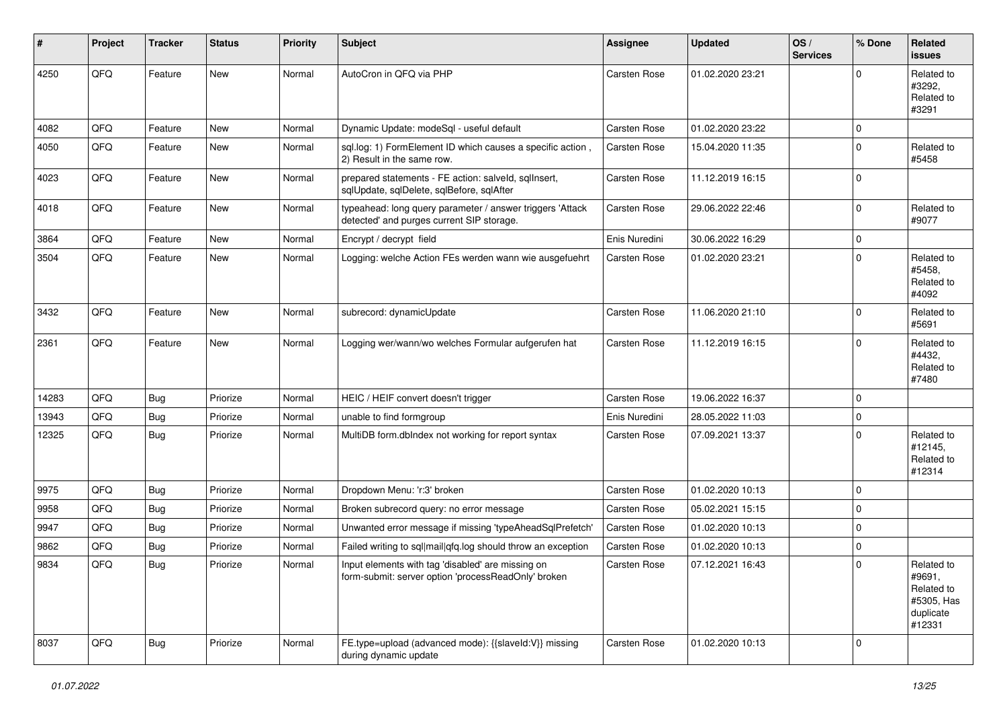| #     | Project | <b>Tracker</b> | <b>Status</b> | <b>Priority</b> | <b>Subject</b>                                                                                           | <b>Assignee</b> | <b>Updated</b>   | OS/<br><b>Services</b> | % Done      | <b>Related</b><br>issues                                                |
|-------|---------|----------------|---------------|-----------------|----------------------------------------------------------------------------------------------------------|-----------------|------------------|------------------------|-------------|-------------------------------------------------------------------------|
| 4250  | QFQ     | Feature        | New           | Normal          | AutoCron in QFQ via PHP                                                                                  | Carsten Rose    | 01.02.2020 23:21 |                        | $\Omega$    | Related to<br>#3292.<br>Related to<br>#3291                             |
| 4082  | QFQ     | Feature        | <b>New</b>    | Normal          | Dynamic Update: modeSql - useful default                                                                 | Carsten Rose    | 01.02.2020 23:22 |                        | 0           |                                                                         |
| 4050  | QFQ     | Feature        | New           | Normal          | sql.log: 1) FormElement ID which causes a specific action,<br>2) Result in the same row.                 | Carsten Rose    | 15.04.2020 11:35 |                        | $\Omega$    | Related to<br>#5458                                                     |
| 4023  | QFQ     | Feature        | New           | Normal          | prepared statements - FE action: salveld, sqlInsert,<br>sqlUpdate, sqlDelete, sqlBefore, sqlAfter        | Carsten Rose    | 11.12.2019 16:15 |                        | 0           |                                                                         |
| 4018  | QFQ     | Feature        | New           | Normal          | typeahead: long query parameter / answer triggers 'Attack<br>detected' and purges current SIP storage.   | Carsten Rose    | 29.06.2022 22:46 |                        | $\mathbf 0$ | Related to<br>#9077                                                     |
| 3864  | QFQ     | Feature        | <b>New</b>    | Normal          | Encrypt / decrypt field                                                                                  | Enis Nuredini   | 30.06.2022 16:29 |                        | 0           |                                                                         |
| 3504  | QFQ     | Feature        | New           | Normal          | Logging: welche Action FEs werden wann wie ausgefuehrt                                                   | Carsten Rose    | 01.02.2020 23:21 |                        | $\mathbf 0$ | Related to<br>#5458,<br>Related to<br>#4092                             |
| 3432  | QFQ     | Feature        | New           | Normal          | subrecord: dynamicUpdate                                                                                 | Carsten Rose    | 11.06.2020 21:10 |                        | 0           | Related to<br>#5691                                                     |
| 2361  | QFQ     | Feature        | New           | Normal          | Logging wer/wann/wo welches Formular aufgerufen hat                                                      | Carsten Rose    | 11.12.2019 16:15 |                        | 0           | Related to<br>#4432,<br>Related to<br>#7480                             |
| 14283 | QFQ     | Bug            | Priorize      | Normal          | HEIC / HEIF convert doesn't trigger                                                                      | Carsten Rose    | 19.06.2022 16:37 |                        | $\Omega$    |                                                                         |
| 13943 | QFQ     | Bug            | Priorize      | Normal          | unable to find formgroup                                                                                 | Enis Nuredini   | 28.05.2022 11:03 |                        | $\mathbf 0$ |                                                                         |
| 12325 | QFQ     | Bug            | Priorize      | Normal          | MultiDB form.dblndex not working for report syntax                                                       | Carsten Rose    | 07.09.2021 13:37 |                        | 0           | Related to<br>#12145,<br>Related to<br>#12314                           |
| 9975  | QFQ     | Bug            | Priorize      | Normal          | Dropdown Menu: 'r:3' broken                                                                              | Carsten Rose    | 01.02.2020 10:13 |                        | $\mathbf 0$ |                                                                         |
| 9958  | QFQ     | Bug            | Priorize      | Normal          | Broken subrecord query: no error message                                                                 | Carsten Rose    | 05.02.2021 15:15 |                        | 0           |                                                                         |
| 9947  | QFQ     | <b>Bug</b>     | Priorize      | Normal          | Unwanted error message if missing 'typeAheadSqlPrefetch'                                                 | Carsten Rose    | 01.02.2020 10:13 |                        | 0           |                                                                         |
| 9862  | QFQ     | Bug            | Priorize      | Normal          | Failed writing to sql mail qfq.log should throw an exception                                             | Carsten Rose    | 01.02.2020 10:13 |                        | 0           |                                                                         |
| 9834  | QFQ     | Bug            | Priorize      | Normal          | Input elements with tag 'disabled' are missing on<br>form-submit: server option 'processReadOnly' broken | Carsten Rose    | 07.12.2021 16:43 |                        | 0           | Related to<br>#9691,<br>Related to<br>#5305, Has<br>duplicate<br>#12331 |
| 8037  | QFQ     | <b>Bug</b>     | Priorize      | Normal          | FE.type=upload (advanced mode): {{slaveld:V}} missing<br>during dynamic update                           | Carsten Rose    | 01.02.2020 10:13 |                        | $\mathbf 0$ |                                                                         |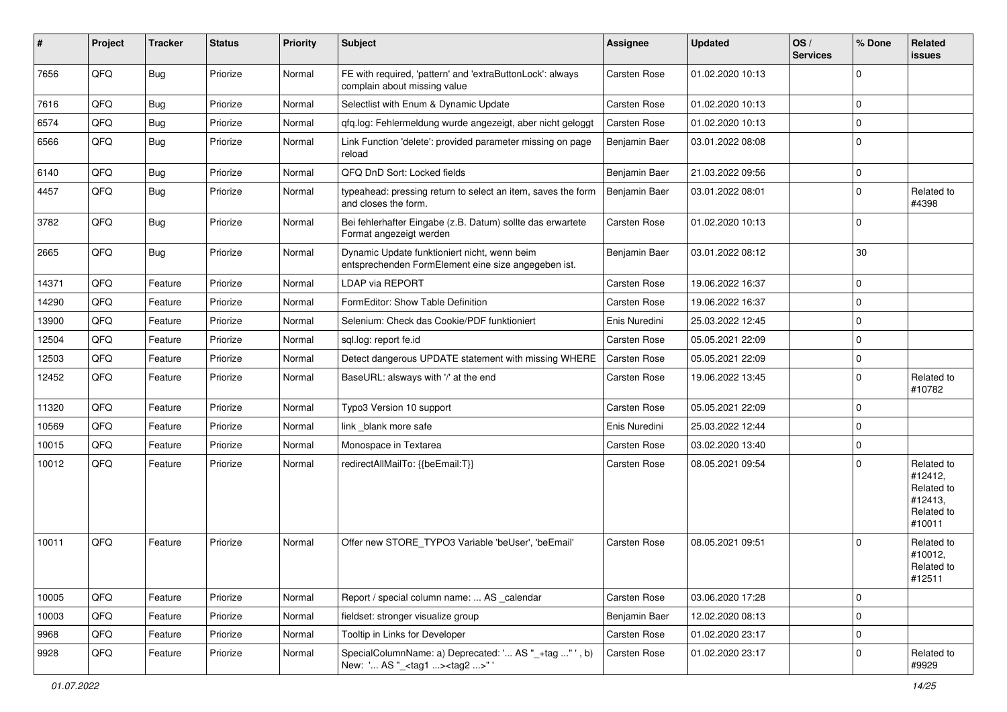| #     | Project | <b>Tracker</b> | <b>Status</b> | <b>Priority</b> | <b>Subject</b>                                                                                      | <b>Assignee</b> | <b>Updated</b>   | OS/<br><b>Services</b> | % Done   | Related<br>issues                                                      |
|-------|---------|----------------|---------------|-----------------|-----------------------------------------------------------------------------------------------------|-----------------|------------------|------------------------|----------|------------------------------------------------------------------------|
| 7656  | QFQ     | <b>Bug</b>     | Priorize      | Normal          | FE with required, 'pattern' and 'extraButtonLock': always<br>complain about missing value           | Carsten Rose    | 01.02.2020 10:13 |                        | $\Omega$ |                                                                        |
| 7616  | QFQ     | <b>Bug</b>     | Priorize      | Normal          | Selectlist with Enum & Dynamic Update                                                               | Carsten Rose    | 01.02.2020 10:13 |                        | $\Omega$ |                                                                        |
| 6574  | QFQ     | <b>Bug</b>     | Priorize      | Normal          | qfq.log: Fehlermeldung wurde angezeigt, aber nicht geloggt                                          | Carsten Rose    | 01.02.2020 10:13 |                        | $\Omega$ |                                                                        |
| 6566  | QFQ     | Bug            | Priorize      | Normal          | Link Function 'delete': provided parameter missing on page<br>reload                                | Benjamin Baer   | 03.01.2022 08:08 |                        | $\Omega$ |                                                                        |
| 6140  | QFQ     | Bug            | Priorize      | Normal          | QFQ DnD Sort: Locked fields                                                                         | Benjamin Baer   | 21.03.2022 09:56 |                        | $\Omega$ |                                                                        |
| 4457  | QFQ     | Bug            | Priorize      | Normal          | typeahead: pressing return to select an item, saves the form<br>and closes the form.                | Benjamin Baer   | 03.01.2022 08:01 |                        | $\Omega$ | Related to<br>#4398                                                    |
| 3782  | QFQ     | Bug            | Priorize      | Normal          | Bei fehlerhafter Eingabe (z.B. Datum) sollte das erwartete<br>Format angezeigt werden               | Carsten Rose    | 01.02.2020 10:13 |                        | $\Omega$ |                                                                        |
| 2665  | QFQ     | Bug            | Priorize      | Normal          | Dynamic Update funktioniert nicht, wenn beim<br>entsprechenden FormElement eine size angegeben ist. | Benjamin Baer   | 03.01.2022 08:12 |                        | 30       |                                                                        |
| 14371 | QFQ     | Feature        | Priorize      | Normal          | <b>LDAP via REPORT</b>                                                                              | Carsten Rose    | 19.06.2022 16:37 |                        | $\Omega$ |                                                                        |
| 14290 | QFQ     | Feature        | Priorize      | Normal          | FormEditor: Show Table Definition                                                                   | Carsten Rose    | 19.06.2022 16:37 |                        | $\Omega$ |                                                                        |
| 13900 | QFQ     | Feature        | Priorize      | Normal          | Selenium: Check das Cookie/PDF funktioniert                                                         | Enis Nuredini   | 25.03.2022 12:45 |                        | $\Omega$ |                                                                        |
| 12504 | QFQ     | Feature        | Priorize      | Normal          | sql.log: report fe.id                                                                               | Carsten Rose    | 05.05.2021 22:09 |                        | $\Omega$ |                                                                        |
| 12503 | QFQ     | Feature        | Priorize      | Normal          | Detect dangerous UPDATE statement with missing WHERE                                                | Carsten Rose    | 05.05.2021 22:09 |                        | 0        |                                                                        |
| 12452 | QFQ     | Feature        | Priorize      | Normal          | BaseURL: alsways with '/' at the end                                                                | Carsten Rose    | 19.06.2022 13:45 |                        | $\Omega$ | Related to<br>#10782                                                   |
| 11320 | QFQ     | Feature        | Priorize      | Normal          | Typo3 Version 10 support                                                                            | Carsten Rose    | 05.05.2021 22:09 |                        | $\Omega$ |                                                                        |
| 10569 | QFQ     | Feature        | Priorize      | Normal          | link blank more safe                                                                                | Enis Nuredini   | 25.03.2022 12:44 |                        | $\Omega$ |                                                                        |
| 10015 | QFQ     | Feature        | Priorize      | Normal          | Monospace in Textarea                                                                               | Carsten Rose    | 03.02.2020 13:40 |                        | $\Omega$ |                                                                        |
| 10012 | QFQ     | Feature        | Priorize      | Normal          | redirectAllMailTo: {{beEmail:T}}                                                                    | Carsten Rose    | 08.05.2021 09:54 |                        | $\Omega$ | Related to<br>#12412,<br>Related to<br>#12413,<br>Related to<br>#10011 |
| 10011 | QFQ     | Feature        | Priorize      | Normal          | Offer new STORE_TYPO3 Variable 'beUser', 'beEmail'                                                  | Carsten Rose    | 08.05.2021 09:51 |                        | $\Omega$ | Related to<br>#10012,<br>Related to<br>#12511                          |
| 10005 | QFQ     | Feature        | Priorize      | Normal          | Report / special column name:  AS _calendar                                                         | Carsten Rose    | 03.06.2020 17:28 |                        | 0        |                                                                        |
| 10003 | QFQ     | Feature        | Priorize      | Normal          | fieldset: stronger visualize group                                                                  | Benjamin Baer   | 12.02.2020 08:13 |                        | 0        |                                                                        |
| 9968  | QFQ     | Feature        | Priorize      | Normal          | Tooltip in Links for Developer                                                                      | Carsten Rose    | 01.02.2020 23:17 |                        | 0        |                                                                        |
| 9928  | QFQ     | Feature        | Priorize      | Normal          | SpecialColumnName: a) Deprecated: ' AS "_+tag " ', b)<br>New: ' AS "_ <tag1><tag2>"'</tag2></tag1>  | Carsten Rose    | 01.02.2020 23:17 |                        | 0        | Related to<br>#9929                                                    |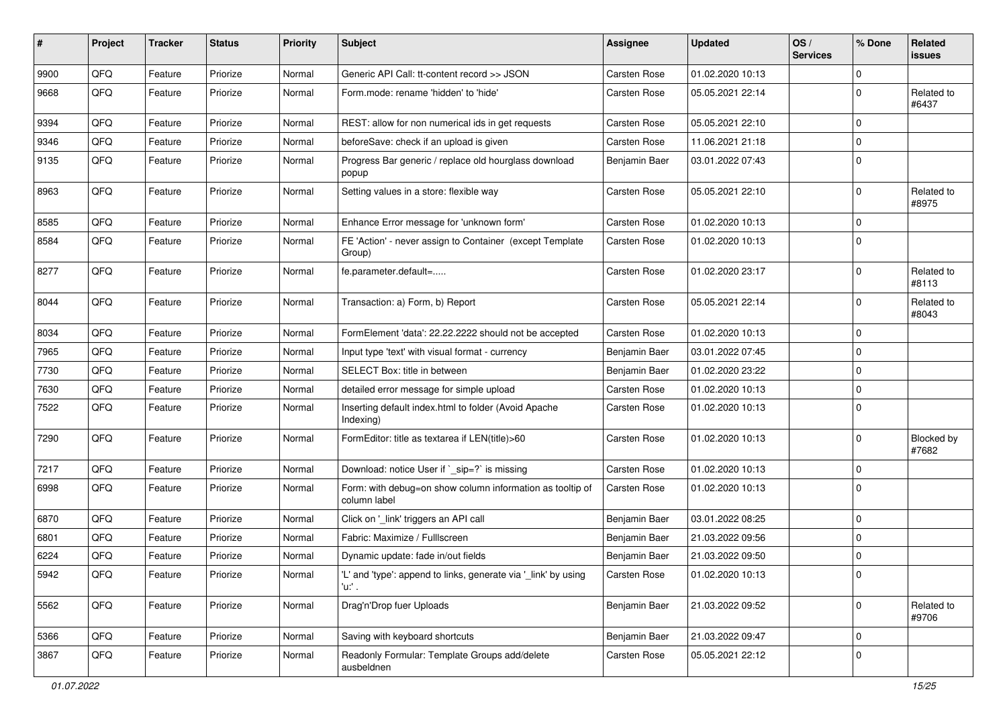| $\sharp$ | Project | <b>Tracker</b> | <b>Status</b> | <b>Priority</b> | <b>Subject</b>                                                            | <b>Assignee</b> | <b>Updated</b>   | OS/<br><b>Services</b> | % Done      | Related<br>issues          |
|----------|---------|----------------|---------------|-----------------|---------------------------------------------------------------------------|-----------------|------------------|------------------------|-------------|----------------------------|
| 9900     | QFQ     | Feature        | Priorize      | Normal          | Generic API Call: tt-content record >> JSON                               | Carsten Rose    | 01.02.2020 10:13 |                        | $\Omega$    |                            |
| 9668     | QFQ     | Feature        | Priorize      | Normal          | Form.mode: rename 'hidden' to 'hide'                                      | Carsten Rose    | 05.05.2021 22:14 |                        | $\Omega$    | Related to<br>#6437        |
| 9394     | QFQ     | Feature        | Priorize      | Normal          | REST: allow for non numerical ids in get requests                         | Carsten Rose    | 05.05.2021 22:10 |                        | $\mathbf 0$ |                            |
| 9346     | QFQ     | Feature        | Priorize      | Normal          | beforeSave: check if an upload is given                                   | Carsten Rose    | 11.06.2021 21:18 |                        | $\mathbf 0$ |                            |
| 9135     | QFQ     | Feature        | Priorize      | Normal          | Progress Bar generic / replace old hourglass download<br>popup            | Benjamin Baer   | 03.01.2022 07:43 |                        | $\Omega$    |                            |
| 8963     | QFQ     | Feature        | Priorize      | Normal          | Setting values in a store: flexible way                                   | Carsten Rose    | 05.05.2021 22:10 |                        | $\Omega$    | Related to<br>#8975        |
| 8585     | QFQ     | Feature        | Priorize      | Normal          | Enhance Error message for 'unknown form'                                  | Carsten Rose    | 01.02.2020 10:13 |                        | 0           |                            |
| 8584     | QFQ     | Feature        | Priorize      | Normal          | FE 'Action' - never assign to Container (except Template<br>Group)        | Carsten Rose    | 01.02.2020 10:13 |                        | $\Omega$    |                            |
| 8277     | QFQ     | Feature        | Priorize      | Normal          | fe.parameter.default=                                                     | Carsten Rose    | 01.02.2020 23:17 |                        | $\Omega$    | Related to<br>#8113        |
| 8044     | QFQ     | Feature        | Priorize      | Normal          | Transaction: a) Form, b) Report                                           | Carsten Rose    | 05.05.2021 22:14 |                        | $\Omega$    | Related to<br>#8043        |
| 8034     | QFQ     | Feature        | Priorize      | Normal          | FormElement 'data': 22.22.2222 should not be accepted                     | Carsten Rose    | 01.02.2020 10:13 |                        | $\mathbf 0$ |                            |
| 7965     | QFQ     | Feature        | Priorize      | Normal          | Input type 'text' with visual format - currency                           | Benjamin Baer   | 03.01.2022 07:45 |                        | $\Omega$    |                            |
| 7730     | QFQ     | Feature        | Priorize      | Normal          | SELECT Box: title in between                                              | Benjamin Baer   | 01.02.2020 23:22 |                        | $\Omega$    |                            |
| 7630     | QFQ     | Feature        | Priorize      | Normal          | detailed error message for simple upload                                  | Carsten Rose    | 01.02.2020 10:13 |                        | $\Omega$    |                            |
| 7522     | QFQ     | Feature        | Priorize      | Normal          | Inserting default index.html to folder (Avoid Apache<br>Indexing)         | Carsten Rose    | 01.02.2020 10:13 |                        | $\Omega$    |                            |
| 7290     | QFQ     | Feature        | Priorize      | Normal          | FormEditor: title as textarea if LEN(title)>60                            | Carsten Rose    | 01.02.2020 10:13 |                        | $\Omega$    | <b>Blocked by</b><br>#7682 |
| 7217     | QFQ     | Feature        | Priorize      | Normal          | Download: notice User if `_sip=?` is missing                              | Carsten Rose    | 01.02.2020 10:13 |                        | 0           |                            |
| 6998     | QFQ     | Feature        | Priorize      | Normal          | Form: with debug=on show column information as tooltip of<br>column label | Carsten Rose    | 01.02.2020 10:13 |                        | $\mathbf 0$ |                            |
| 6870     | QFQ     | Feature        | Priorize      | Normal          | Click on '_link' triggers an API call                                     | Benjamin Baer   | 03.01.2022 08:25 |                        | $\mathbf 0$ |                            |
| 6801     | QFQ     | Feature        | Priorize      | Normal          | Fabric: Maximize / FullIscreen                                            | Benjamin Baer   | 21.03.2022 09:56 |                        | $\mathbf 0$ |                            |
| 6224     | QFQ     | Feature        | Priorize      | Normal          | Dynamic update: fade in/out fields                                        | Benjamin Baer   | 21.03.2022 09:50 |                        | 0           |                            |
| 5942     | QFQ     | Feature        | Priorize      | Normal          | 'L' and 'type': append to links, generate via '_link' by using<br>'u:' .  | Carsten Rose    | 01.02.2020 10:13 |                        | 0           |                            |
| 5562     | QFQ     | Feature        | Priorize      | Normal          | Drag'n'Drop fuer Uploads                                                  | Benjamin Baer   | 21.03.2022 09:52 |                        | $\mathbf 0$ | Related to<br>#9706        |
| 5366     | QFQ     | Feature        | Priorize      | Normal          | Saving with keyboard shortcuts                                            | Benjamin Baer   | 21.03.2022 09:47 |                        | $\mathbf 0$ |                            |
| 3867     | QFQ     | Feature        | Priorize      | Normal          | Readonly Formular: Template Groups add/delete<br>ausbeldnen               | Carsten Rose    | 05.05.2021 22:12 |                        | 0           |                            |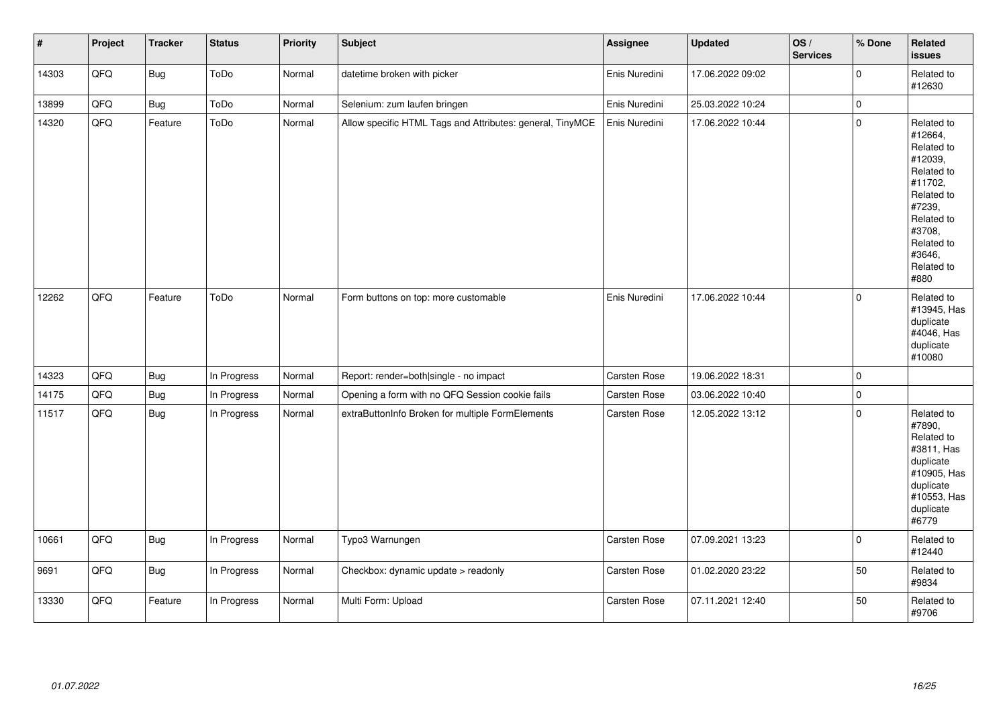| $\vert$ # | Project | <b>Tracker</b> | <b>Status</b> | <b>Priority</b> | <b>Subject</b>                                            | <b>Assignee</b>     | <b>Updated</b>   | OS/<br><b>Services</b> | % Done      | Related<br><b>issues</b>                                                                                                                                              |
|-----------|---------|----------------|---------------|-----------------|-----------------------------------------------------------|---------------------|------------------|------------------------|-------------|-----------------------------------------------------------------------------------------------------------------------------------------------------------------------|
| 14303     | QFQ     | <b>Bug</b>     | ToDo          | Normal          | datetime broken with picker                               | Enis Nuredini       | 17.06.2022 09:02 |                        | $\mathbf 0$ | Related to<br>#12630                                                                                                                                                  |
| 13899     | QFQ     | <b>Bug</b>     | ToDo          | Normal          | Selenium: zum laufen bringen                              | Enis Nuredini       | 25.03.2022 10:24 |                        | $\mathsf 0$ |                                                                                                                                                                       |
| 14320     | QFQ     | Feature        | ToDo          | Normal          | Allow specific HTML Tags and Attributes: general, TinyMCE | Enis Nuredini       | 17.06.2022 10:44 |                        | $\pmb{0}$   | Related to<br>#12664,<br>Related to<br>#12039,<br>Related to<br>#11702,<br>Related to<br>#7239,<br>Related to<br>#3708,<br>Related to<br>#3646,<br>Related to<br>#880 |
| 12262     | QFQ     | Feature        | ToDo          | Normal          | Form buttons on top: more customable                      | Enis Nuredini       | 17.06.2022 10:44 |                        | $\mathbf 0$ | Related to<br>#13945, Has<br>duplicate<br>#4046, Has<br>duplicate<br>#10080                                                                                           |
| 14323     | QFQ     | Bug            | In Progress   | Normal          | Report: render=both single - no impact                    | Carsten Rose        | 19.06.2022 18:31 |                        | $\pmb{0}$   |                                                                                                                                                                       |
| 14175     | QFQ     | <b>Bug</b>     | In Progress   | Normal          | Opening a form with no QFQ Session cookie fails           | <b>Carsten Rose</b> | 03.06.2022 10:40 |                        | $\mathsf 0$ |                                                                                                                                                                       |
| 11517     | QFQ     | Bug            | In Progress   | Normal          | extraButtonInfo Broken for multiple FormElements          | Carsten Rose        | 12.05.2022 13:12 |                        | $\pmb{0}$   | Related to<br>#7890,<br>Related to<br>#3811, Has<br>duplicate<br>#10905, Has<br>duplicate<br>#10553, Has<br>duplicate<br>#6779                                        |
| 10661     | QFQ     | Bug            | In Progress   | Normal          | Typo3 Warnungen                                           | Carsten Rose        | 07.09.2021 13:23 |                        | $\pmb{0}$   | Related to<br>#12440                                                                                                                                                  |
| 9691      | QFQ     | Bug            | In Progress   | Normal          | Checkbox: dynamic update > readonly                       | Carsten Rose        | 01.02.2020 23:22 |                        | 50          | Related to<br>#9834                                                                                                                                                   |
| 13330     | QFQ     | Feature        | In Progress   | Normal          | Multi Form: Upload                                        | Carsten Rose        | 07.11.2021 12:40 |                        | 50          | Related to<br>#9706                                                                                                                                                   |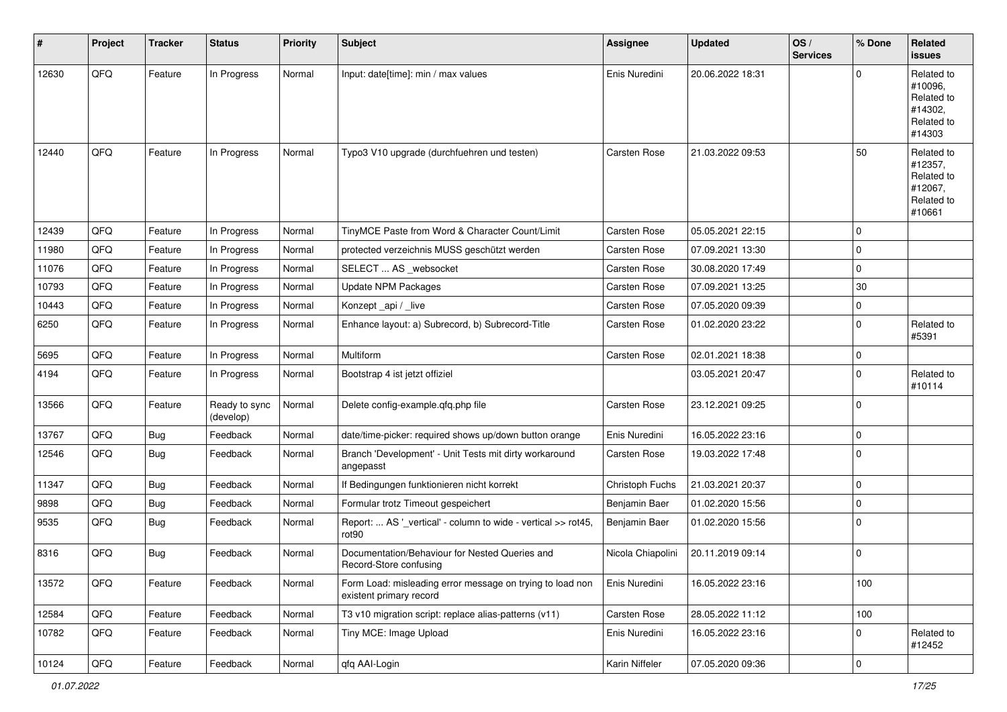| #     | Project | <b>Tracker</b> | <b>Status</b>              | <b>Priority</b> | <b>Subject</b>                                                                       | <b>Assignee</b>   | <b>Updated</b>   | OS/<br><b>Services</b> | % Done      | Related<br>issues                                                      |
|-------|---------|----------------|----------------------------|-----------------|--------------------------------------------------------------------------------------|-------------------|------------------|------------------------|-------------|------------------------------------------------------------------------|
| 12630 | QFQ     | Feature        | In Progress                | Normal          | Input: date[time]: min / max values                                                  | Enis Nuredini     | 20.06.2022 18:31 |                        | $\Omega$    | Related to<br>#10096,<br>Related to<br>#14302,<br>Related to<br>#14303 |
| 12440 | QFQ     | Feature        | In Progress                | Normal          | Typo3 V10 upgrade (durchfuehren und testen)                                          | Carsten Rose      | 21.03.2022 09:53 |                        | 50          | Related to<br>#12357,<br>Related to<br>#12067,<br>Related to<br>#10661 |
| 12439 | QFQ     | Feature        | In Progress                | Normal          | TinyMCE Paste from Word & Character Count/Limit                                      | Carsten Rose      | 05.05.2021 22:15 |                        | $\mathbf 0$ |                                                                        |
| 11980 | QFQ     | Feature        | In Progress                | Normal          | protected verzeichnis MUSS geschützt werden                                          | Carsten Rose      | 07.09.2021 13:30 |                        | 0           |                                                                        |
| 11076 | QFQ     | Feature        | In Progress                | Normal          | SELECT  AS _websocket                                                                | Carsten Rose      | 30.08.2020 17:49 |                        | $\mathbf 0$ |                                                                        |
| 10793 | QFQ     | Feature        | In Progress                | Normal          | <b>Update NPM Packages</b>                                                           | Carsten Rose      | 07.09.2021 13:25 |                        | 30          |                                                                        |
| 10443 | QFQ     | Feature        | In Progress                | Normal          | Konzept_api / _live                                                                  | Carsten Rose      | 07.05.2020 09:39 |                        | $\pmb{0}$   |                                                                        |
| 6250  | QFQ     | Feature        | In Progress                | Normal          | Enhance layout: a) Subrecord, b) Subrecord-Title                                     | Carsten Rose      | 01.02.2020 23:22 |                        | $\mathbf 0$ | Related to<br>#5391                                                    |
| 5695  | QFQ     | Feature        | In Progress                | Normal          | Multiform                                                                            | Carsten Rose      | 02.01.2021 18:38 |                        | $\mathbf 0$ |                                                                        |
| 4194  | QFQ     | Feature        | In Progress                | Normal          | Bootstrap 4 ist jetzt offiziel                                                       |                   | 03.05.2021 20:47 |                        | $\mathbf 0$ | Related to<br>#10114                                                   |
| 13566 | QFQ     | Feature        | Ready to sync<br>(develop) | Normal          | Delete config-example.qfq.php file                                                   | Carsten Rose      | 23.12.2021 09:25 |                        | $\mathbf 0$ |                                                                        |
| 13767 | QFQ     | Bug            | Feedback                   | Normal          | date/time-picker: required shows up/down button orange                               | Enis Nuredini     | 16.05.2022 23:16 |                        | $\mathbf 0$ |                                                                        |
| 12546 | QFQ     | <b>Bug</b>     | Feedback                   | Normal          | Branch 'Development' - Unit Tests mit dirty workaround<br>angepasst                  | Carsten Rose      | 19.03.2022 17:48 |                        | $\mathbf 0$ |                                                                        |
| 11347 | QFQ     | <b>Bug</b>     | Feedback                   | Normal          | If Bedingungen funktionieren nicht korrekt                                           | Christoph Fuchs   | 21.03.2021 20:37 |                        | $\mathbf 0$ |                                                                        |
| 9898  | QFQ     | Bug            | Feedback                   | Normal          | Formular trotz Timeout gespeichert                                                   | Benjamin Baer     | 01.02.2020 15:56 |                        | $\mathbf 0$ |                                                                        |
| 9535  | QFQ     | <b>Bug</b>     | Feedback                   | Normal          | Report:  AS '_vertical' - column to wide - vertical >> rot45,<br>rot90               | Benjamin Baer     | 01.02.2020 15:56 |                        | $\mathbf 0$ |                                                                        |
| 8316  | QFQ     | Bug            | Feedback                   | Normal          | Documentation/Behaviour for Nested Queries and<br>Record-Store confusing             | Nicola Chiapolini | 20.11.2019 09:14 |                        | $\mathbf 0$ |                                                                        |
| 13572 | QFQ     | Feature        | Feedback                   | Normal          | Form Load: misleading error message on trying to load non<br>existent primary record | Enis Nuredini     | 16.05.2022 23:16 |                        | 100         |                                                                        |
| 12584 | QFQ     | Feature        | Feedback                   | Normal          | T3 v10 migration script: replace alias-patterns (v11)                                | Carsten Rose      | 28.05.2022 11:12 |                        | 100         |                                                                        |
| 10782 | QFQ     | Feature        | Feedback                   | Normal          | Tiny MCE: Image Upload                                                               | Enis Nuredini     | 16.05.2022 23:16 |                        | 0           | Related to<br>#12452                                                   |
| 10124 | QFG     | Feature        | Feedback                   | Normal          | qfq AAI-Login                                                                        | Karin Niffeler    | 07.05.2020 09:36 |                        | $\pmb{0}$   |                                                                        |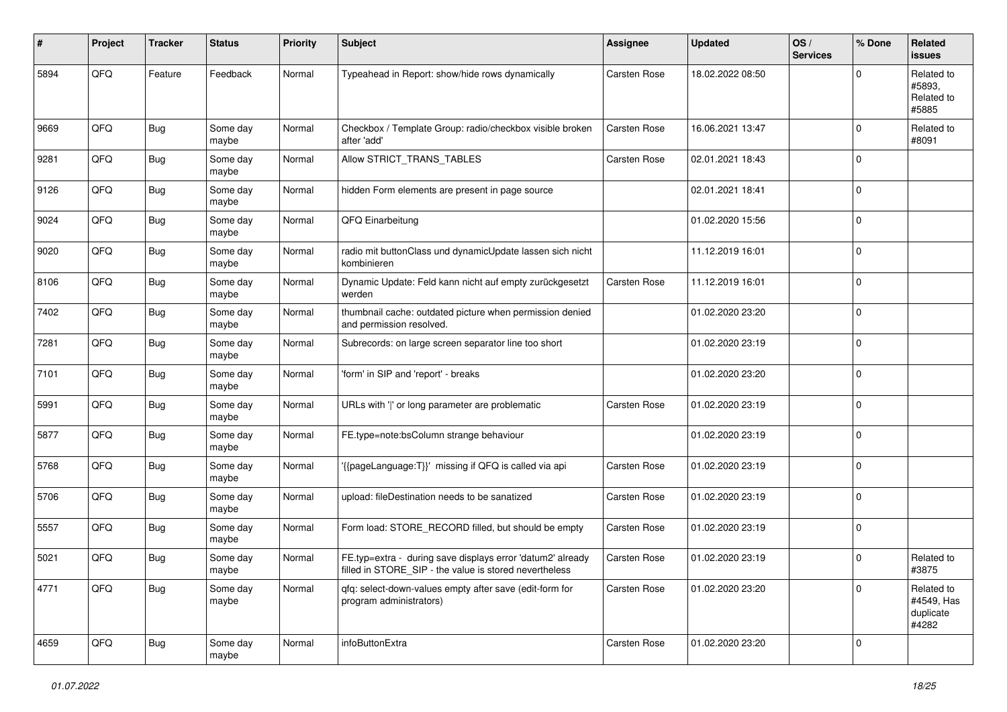| #    | Project | <b>Tracker</b> | <b>Status</b>     | <b>Priority</b> | <b>Subject</b>                                                                                                       | <b>Assignee</b> | <b>Updated</b>   | OS/<br><b>Services</b> | % Done      | Related<br><b>issues</b>                       |
|------|---------|----------------|-------------------|-----------------|----------------------------------------------------------------------------------------------------------------------|-----------------|------------------|------------------------|-------------|------------------------------------------------|
| 5894 | QFQ     | Feature        | Feedback          | Normal          | Typeahead in Report: show/hide rows dynamically                                                                      | Carsten Rose    | 18.02.2022 08:50 |                        | $\Omega$    | Related to<br>#5893.<br>Related to<br>#5885    |
| 9669 | QFQ     | <b>Bug</b>     | Some day<br>maybe | Normal          | Checkbox / Template Group: radio/checkbox visible broken<br>after 'add'                                              | Carsten Rose    | 16.06.2021 13:47 |                        | $\Omega$    | Related to<br>#8091                            |
| 9281 | QFQ     | <b>Bug</b>     | Some day<br>maybe | Normal          | Allow STRICT_TRANS_TABLES                                                                                            | Carsten Rose    | 02.01.2021 18:43 |                        | $\mathbf 0$ |                                                |
| 9126 | QFQ     | Bug            | Some day<br>maybe | Normal          | hidden Form elements are present in page source                                                                      |                 | 02.01.2021 18:41 |                        | $\mathbf 0$ |                                                |
| 9024 | QFQ     | Bug            | Some day<br>maybe | Normal          | QFQ Einarbeitung                                                                                                     |                 | 01.02.2020 15:56 |                        | $\Omega$    |                                                |
| 9020 | QFQ     | Bug            | Some day<br>maybe | Normal          | radio mit buttonClass und dynamicUpdate lassen sich nicht<br>kombinieren                                             |                 | 11.12.2019 16:01 |                        | $\mathbf 0$ |                                                |
| 8106 | QFQ     | <b>Bug</b>     | Some day<br>maybe | Normal          | Dynamic Update: Feld kann nicht auf empty zurückgesetzt<br>werden                                                    | Carsten Rose    | 11.12.2019 16:01 |                        | $\Omega$    |                                                |
| 7402 | QFQ     | Bug            | Some day<br>maybe | Normal          | thumbnail cache: outdated picture when permission denied<br>and permission resolved.                                 |                 | 01.02.2020 23:20 |                        | $\mathbf 0$ |                                                |
| 7281 | QFQ     | <b>Bug</b>     | Some day<br>maybe | Normal          | Subrecords: on large screen separator line too short                                                                 |                 | 01.02.2020 23:19 |                        | $\Omega$    |                                                |
| 7101 | QFQ     | Bug            | Some day<br>maybe | Normal          | 'form' in SIP and 'report' - breaks                                                                                  |                 | 01.02.2020 23:20 |                        | $\mathbf 0$ |                                                |
| 5991 | QFQ     | Bug            | Some day<br>maybe | Normal          | URLs with ' ' or long parameter are problematic                                                                      | Carsten Rose    | 01.02.2020 23:19 |                        | $\mathbf 0$ |                                                |
| 5877 | QFQ     | Bug            | Some day<br>maybe | Normal          | FE.type=note:bsColumn strange behaviour                                                                              |                 | 01.02.2020 23:19 |                        | $\mathbf 0$ |                                                |
| 5768 | QFQ     | Bug            | Some day<br>maybe | Normal          | '{{pageLanguage:T}}' missing if QFQ is called via api                                                                | Carsten Rose    | 01.02.2020 23:19 |                        | $\mathbf 0$ |                                                |
| 5706 | QFQ     | Bug            | Some day<br>maybe | Normal          | upload: fileDestination needs to be sanatized                                                                        | Carsten Rose    | 01.02.2020 23:19 |                        | $\Omega$    |                                                |
| 5557 | QFQ     | Bug            | Some day<br>maybe | Normal          | Form load: STORE_RECORD filled, but should be empty                                                                  | Carsten Rose    | 01.02.2020 23:19 |                        | $\Omega$    |                                                |
| 5021 | QFQ     | <b>Bug</b>     | Some day<br>maybe | Normal          | FE.typ=extra - during save displays error 'datum2' already<br>filled in STORE_SIP - the value is stored nevertheless | Carsten Rose    | 01.02.2020 23:19 |                        | $\Omega$    | Related to<br>#3875                            |
| 4771 | QFQ     | Bug            | Some day<br>maybe | Normal          | gfg: select-down-values empty after save (edit-form for<br>program administrators)                                   | Carsten Rose    | 01.02.2020 23:20 |                        | $\mathbf 0$ | Related to<br>#4549, Has<br>duplicate<br>#4282 |
| 4659 | QFO     | <b>Bug</b>     | Some day<br>maybe | Normal          | infoButtonExtra                                                                                                      | Carsten Rose    | 01.02.2020 23:20 |                        | $\mathbf 0$ |                                                |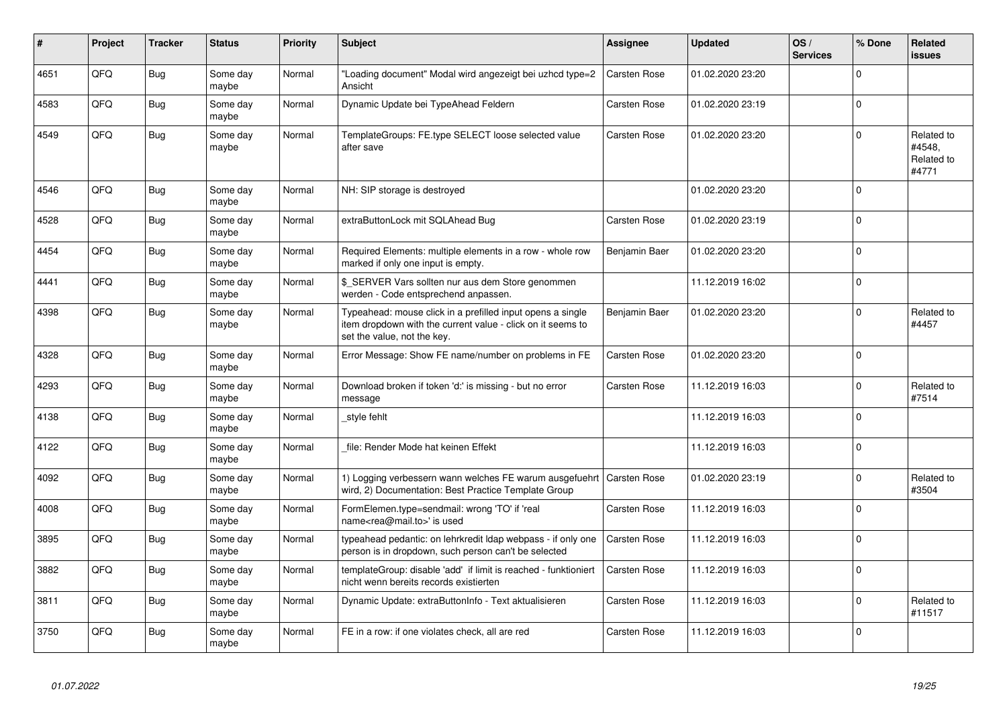| #    | Project | <b>Tracker</b> | <b>Status</b>     | <b>Priority</b> | <b>Subject</b>                                                                                                                                           | Assignee      | <b>Updated</b>   | OS/<br><b>Services</b> | % Done      | Related<br><b>issues</b>                    |
|------|---------|----------------|-------------------|-----------------|----------------------------------------------------------------------------------------------------------------------------------------------------------|---------------|------------------|------------------------|-------------|---------------------------------------------|
| 4651 | QFQ     | <b>Bug</b>     | Some day<br>maybe | Normal          | 'Loading document" Modal wird angezeigt bei uzhcd type=2<br>Ansicht                                                                                      | Carsten Rose  | 01.02.2020 23:20 |                        | $\Omega$    |                                             |
| 4583 | QFQ     | Bug            | Some day<br>maybe | Normal          | Dynamic Update bei TypeAhead Feldern                                                                                                                     | Carsten Rose  | 01.02.2020 23:19 |                        | $\mathbf 0$ |                                             |
| 4549 | QFQ     | Bug            | Some day<br>maybe | Normal          | TemplateGroups: FE.type SELECT loose selected value<br>after save                                                                                        | Carsten Rose  | 01.02.2020 23:20 |                        | $\Omega$    | Related to<br>#4548.<br>Related to<br>#4771 |
| 4546 | QFQ     | Bug            | Some day<br>maybe | Normal          | NH: SIP storage is destroyed                                                                                                                             |               | 01.02.2020 23:20 |                        | $\Omega$    |                                             |
| 4528 | QFQ     | Bug            | Some day<br>maybe | Normal          | extraButtonLock mit SQLAhead Bug                                                                                                                         | Carsten Rose  | 01.02.2020 23:19 |                        | $\mathbf 0$ |                                             |
| 4454 | QFQ     | Bug            | Some day<br>maybe | Normal          | Required Elements: multiple elements in a row - whole row<br>marked if only one input is empty.                                                          | Benjamin Baer | 01.02.2020 23:20 |                        | $\Omega$    |                                             |
| 4441 | QFQ     | Bug            | Some day<br>maybe | Normal          | \$ SERVER Vars sollten nur aus dem Store genommen<br>werden - Code entsprechend anpassen.                                                                |               | 11.12.2019 16:02 |                        | $\mathbf 0$ |                                             |
| 4398 | QFQ     | Bug            | Some day<br>maybe | Normal          | Typeahead: mouse click in a prefilled input opens a single<br>item dropdown with the current value - click on it seems to<br>set the value, not the key. | Benjamin Baer | 01.02.2020 23:20 |                        | $\Omega$    | Related to<br>#4457                         |
| 4328 | QFQ     | <b>Bug</b>     | Some day<br>maybe | Normal          | Error Message: Show FE name/number on problems in FE                                                                                                     | Carsten Rose  | 01.02.2020 23:20 |                        | $\mathbf 0$ |                                             |
| 4293 | QFQ     | Bug            | Some day<br>maybe | Normal          | Download broken if token 'd:' is missing - but no error<br>message                                                                                       | Carsten Rose  | 11.12.2019 16:03 |                        | $\mathbf 0$ | Related to<br>#7514                         |
| 4138 | QFQ     | Bug            | Some day<br>maybe | Normal          | style fehlt                                                                                                                                              |               | 11.12.2019 16:03 |                        | $\Omega$    |                                             |
| 4122 | QFQ     | <b>Bug</b>     | Some day<br>maybe | Normal          | file: Render Mode hat keinen Effekt                                                                                                                      |               | 11.12.2019 16:03 |                        | $\mathbf 0$ |                                             |
| 4092 | QFQ     | <b>Bug</b>     | Some day<br>maybe | Normal          | 1) Logging verbessern wann welches FE warum ausgefuehrt<br>wird, 2) Documentation: Best Practice Template Group                                          | Carsten Rose  | 01.02.2020 23:19 |                        | $\Omega$    | Related to<br>#3504                         |
| 4008 | QFQ     | Bug            | Some day<br>maybe | Normal          | FormElemen.type=sendmail: wrong 'TO' if 'real<br>name <rea@mail.to>' is used</rea@mail.to>                                                               | Carsten Rose  | 11.12.2019 16:03 |                        | $\Omega$    |                                             |
| 3895 | QFQ     | Bug            | Some day<br>maybe | Normal          | typeahead pedantic: on lehrkredit Idap webpass - if only one<br>person is in dropdown, such person can't be selected                                     | Carsten Rose  | 11.12.2019 16:03 |                        | $\mathbf 0$ |                                             |
| 3882 | QFQ     | <b>Bug</b>     | Some day<br>maybe | Normal          | templateGroup: disable 'add' if limit is reached - funktioniert<br>nicht wenn bereits records existierten                                                | Carsten Rose  | 11.12.2019 16:03 |                        | $\Omega$    |                                             |
| 3811 | QFQ     | Bug            | Some day<br>maybe | Normal          | Dynamic Update: extraButtonInfo - Text aktualisieren                                                                                                     | Carsten Rose  | 11.12.2019 16:03 |                        | $\mathbf 0$ | Related to<br>#11517                        |
| 3750 | QFQ     | Bug            | Some day<br>maybe | Normal          | FE in a row: if one violates check, all are red                                                                                                          | Carsten Rose  | 11.12.2019 16:03 |                        | $\Omega$    |                                             |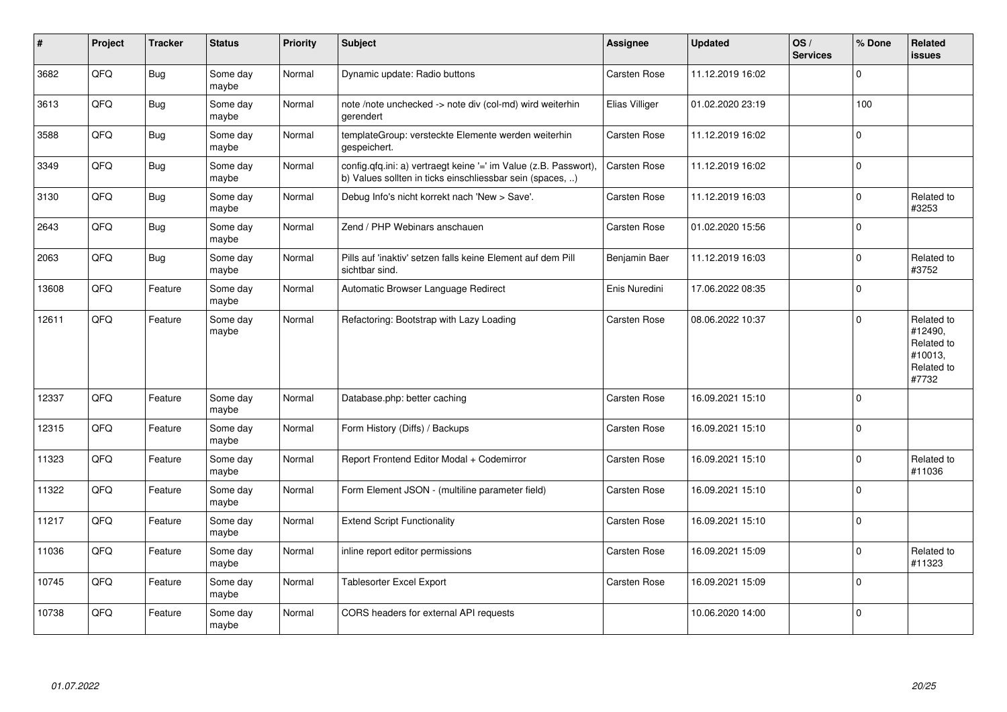| #     | Project | <b>Tracker</b> | <b>Status</b>     | <b>Priority</b> | <b>Subject</b>                                                                                                                | <b>Assignee</b> | <b>Updated</b>   | OS/<br><b>Services</b> | % Done      | Related<br>issues                                                     |
|-------|---------|----------------|-------------------|-----------------|-------------------------------------------------------------------------------------------------------------------------------|-----------------|------------------|------------------------|-------------|-----------------------------------------------------------------------|
| 3682  | QFQ     | Bug            | Some day<br>maybe | Normal          | Dynamic update: Radio buttons                                                                                                 | Carsten Rose    | 11.12.2019 16:02 |                        | $\Omega$    |                                                                       |
| 3613  | QFQ     | Bug            | Some day<br>maybe | Normal          | note /note unchecked -> note div (col-md) wird weiterhin<br>gerendert                                                         | Elias Villiger  | 01.02.2020 23:19 |                        | 100         |                                                                       |
| 3588  | QFQ     | Bug            | Some day<br>maybe | Normal          | templateGroup: versteckte Elemente werden weiterhin<br>gespeichert.                                                           | Carsten Rose    | 11.12.2019 16:02 |                        | 0           |                                                                       |
| 3349  | QFO     | <b>Bug</b>     | Some day<br>maybe | Normal          | config.qfq.ini: a) vertraegt keine '=' im Value (z.B. Passwort),<br>b) Values sollten in ticks einschliessbar sein (spaces, ) | Carsten Rose    | 11.12.2019 16:02 |                        | $\mathbf 0$ |                                                                       |
| 3130  | QFQ     | Bug            | Some day<br>maybe | Normal          | Debug Info's nicht korrekt nach 'New > Save'.                                                                                 | Carsten Rose    | 11.12.2019 16:03 |                        | $\mathbf 0$ | Related to<br>#3253                                                   |
| 2643  | QFQ     | Bug            | Some day<br>maybe | Normal          | Zend / PHP Webinars anschauen                                                                                                 | Carsten Rose    | 01.02.2020 15:56 |                        | $\Omega$    |                                                                       |
| 2063  | QFQ     | <b>Bug</b>     | Some day<br>maybe | Normal          | Pills auf 'inaktiv' setzen falls keine Element auf dem Pill<br>sichtbar sind.                                                 | Benjamin Baer   | 11.12.2019 16:03 |                        | $\Omega$    | Related to<br>#3752                                                   |
| 13608 | QFQ     | Feature        | Some day<br>maybe | Normal          | Automatic Browser Language Redirect                                                                                           | Enis Nuredini   | 17.06.2022 08:35 |                        | $\Omega$    |                                                                       |
| 12611 | QFQ     | Feature        | Some day<br>maybe | Normal          | Refactoring: Bootstrap with Lazy Loading                                                                                      | Carsten Rose    | 08.06.2022 10:37 |                        | 0           | Related to<br>#12490,<br>Related to<br>#10013,<br>Related to<br>#7732 |
| 12337 | QFQ     | Feature        | Some day<br>maybe | Normal          | Database.php: better caching                                                                                                  | Carsten Rose    | 16.09.2021 15:10 |                        | $\Omega$    |                                                                       |
| 12315 | QFQ     | Feature        | Some day<br>maybe | Normal          | Form History (Diffs) / Backups                                                                                                | Carsten Rose    | 16.09.2021 15:10 |                        | $\Omega$    |                                                                       |
| 11323 | QFQ     | Feature        | Some day<br>maybe | Normal          | Report Frontend Editor Modal + Codemirror                                                                                     | Carsten Rose    | 16.09.2021 15:10 |                        | $\Omega$    | Related to<br>#11036                                                  |
| 11322 | QFQ     | Feature        | Some day<br>maybe | Normal          | Form Element JSON - (multiline parameter field)                                                                               | Carsten Rose    | 16.09.2021 15:10 |                        | $\Omega$    |                                                                       |
| 11217 | QFQ     | Feature        | Some day<br>maybe | Normal          | <b>Extend Script Functionality</b>                                                                                            | Carsten Rose    | 16.09.2021 15:10 |                        | 0           |                                                                       |
| 11036 | QFQ     | Feature        | Some day<br>maybe | Normal          | inline report editor permissions                                                                                              | Carsten Rose    | 16.09.2021 15:09 |                        | 0           | Related to<br>#11323                                                  |
| 10745 | QFQ     | Feature        | Some day<br>maybe | Normal          | Tablesorter Excel Export                                                                                                      | Carsten Rose    | 16.09.2021 15:09 |                        | $\Omega$    |                                                                       |
| 10738 | QFQ     | Feature        | Some day<br>maybe | Normal          | CORS headers for external API requests                                                                                        |                 | 10.06.2020 14:00 |                        | 0           |                                                                       |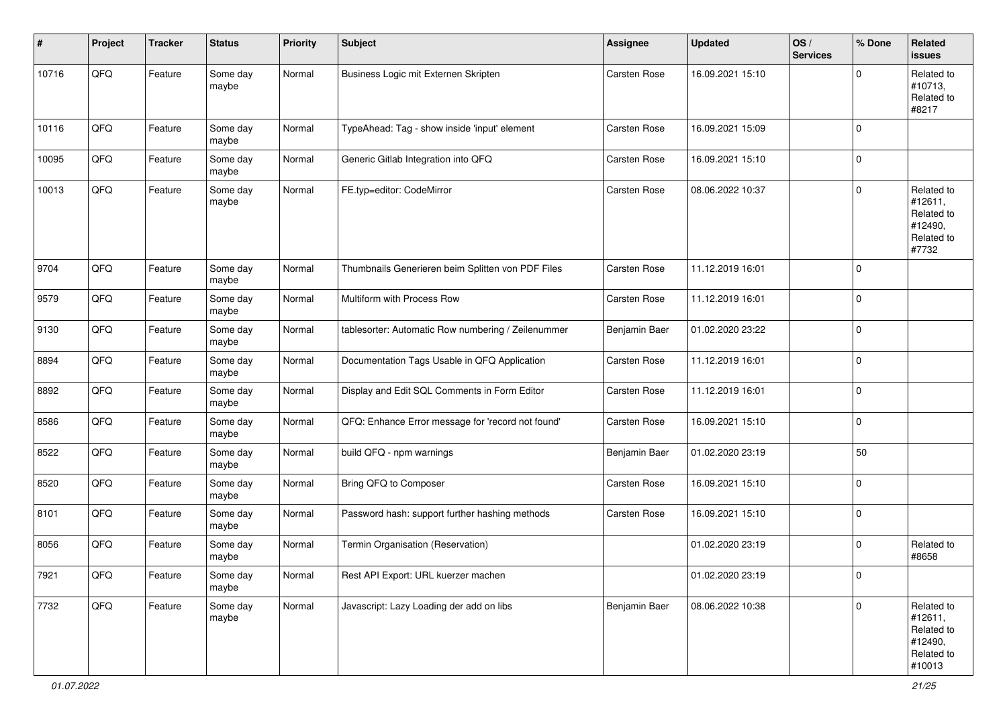| #     | Project | <b>Tracker</b> | <b>Status</b>     | <b>Priority</b> | <b>Subject</b>                                     | <b>Assignee</b> | <b>Updated</b>   | OS/<br><b>Services</b> | % Done       | Related<br><b>issues</b>                                               |
|-------|---------|----------------|-------------------|-----------------|----------------------------------------------------|-----------------|------------------|------------------------|--------------|------------------------------------------------------------------------|
| 10716 | QFQ     | Feature        | Some day<br>maybe | Normal          | Business Logic mit Externen Skripten               | Carsten Rose    | 16.09.2021 15:10 |                        | $\mathbf 0$  | Related to<br>#10713,<br>Related to<br>#8217                           |
| 10116 | QFQ     | Feature        | Some day<br>maybe | Normal          | TypeAhead: Tag - show inside 'input' element       | Carsten Rose    | 16.09.2021 15:09 |                        | $\mathbf 0$  |                                                                        |
| 10095 | QFQ     | Feature        | Some day<br>maybe | Normal          | Generic Gitlab Integration into QFQ                | Carsten Rose    | 16.09.2021 15:10 |                        | $\mathbf 0$  |                                                                        |
| 10013 | QFQ     | Feature        | Some day<br>maybe | Normal          | FE.typ=editor: CodeMirror                          | Carsten Rose    | 08.06.2022 10:37 |                        | $\mathbf 0$  | Related to<br>#12611,<br>Related to<br>#12490,<br>Related to<br>#7732  |
| 9704  | QFQ     | Feature        | Some day<br>maybe | Normal          | Thumbnails Generieren beim Splitten von PDF Files  | Carsten Rose    | 11.12.2019 16:01 |                        | $\mathbf 0$  |                                                                        |
| 9579  | QFQ     | Feature        | Some day<br>maybe | Normal          | Multiform with Process Row                         | Carsten Rose    | 11.12.2019 16:01 |                        | $\mathbf 0$  |                                                                        |
| 9130  | QFQ     | Feature        | Some day<br>maybe | Normal          | tablesorter: Automatic Row numbering / Zeilenummer | Benjamin Baer   | 01.02.2020 23:22 |                        | $\mathbf 0$  |                                                                        |
| 8894  | QFQ     | Feature        | Some day<br>maybe | Normal          | Documentation Tags Usable in QFQ Application       | Carsten Rose    | 11.12.2019 16:01 |                        | $\mathbf 0$  |                                                                        |
| 8892  | QFQ     | Feature        | Some day<br>maybe | Normal          | Display and Edit SQL Comments in Form Editor       | Carsten Rose    | 11.12.2019 16:01 |                        | $\mathbf 0$  |                                                                        |
| 8586  | QFQ     | Feature        | Some day<br>maybe | Normal          | QFQ: Enhance Error message for 'record not found'  | Carsten Rose    | 16.09.2021 15:10 |                        | 0            |                                                                        |
| 8522  | QFQ     | Feature        | Some day<br>maybe | Normal          | build QFQ - npm warnings                           | Benjamin Baer   | 01.02.2020 23:19 |                        | 50           |                                                                        |
| 8520  | QFQ     | Feature        | Some day<br>maybe | Normal          | Bring QFQ to Composer                              | Carsten Rose    | 16.09.2021 15:10 |                        | $\mathbf 0$  |                                                                        |
| 8101  | QFQ     | Feature        | Some day<br>maybe | Normal          | Password hash: support further hashing methods     | Carsten Rose    | 16.09.2021 15:10 |                        | $\mathbf 0$  |                                                                        |
| 8056  | QFQ     | Feature        | Some day<br>maybe | Normal          | Termin Organisation (Reservation)                  |                 | 01.02.2020 23:19 |                        | $\mathbf 0$  | Related to<br>#8658                                                    |
| 7921  | QFQ     | Feature        | Some day<br>maybe | Normal          | Rest API Export: URL kuerzer machen                |                 | 01.02.2020 23:19 |                        | 0            |                                                                        |
| 7732  | QFQ     | Feature        | Some day<br>maybe | Normal          | Javascript: Lazy Loading der add on libs           | Benjamin Baer   | 08.06.2022 10:38 |                        | $\mathbf{0}$ | Related to<br>#12611,<br>Related to<br>#12490,<br>Related to<br>#10013 |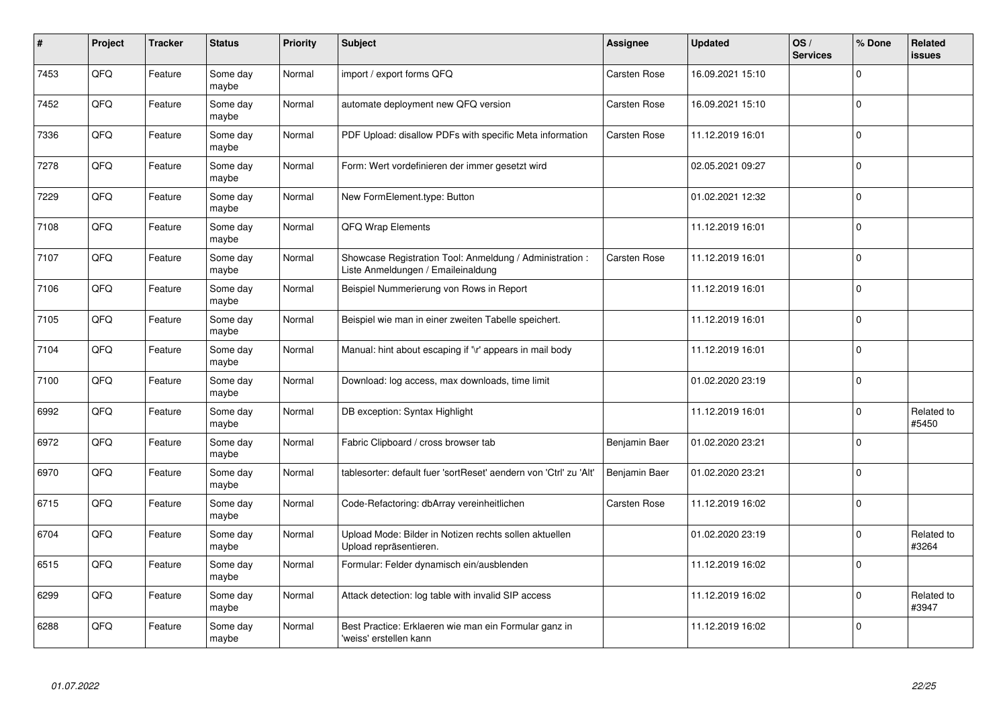| #    | Project | <b>Tracker</b> | <b>Status</b>     | <b>Priority</b> | <b>Subject</b>                                                                                 | Assignee      | <b>Updated</b>   | OS/<br><b>Services</b> | % Done      | Related<br><b>issues</b> |
|------|---------|----------------|-------------------|-----------------|------------------------------------------------------------------------------------------------|---------------|------------------|------------------------|-------------|--------------------------|
| 7453 | QFQ     | Feature        | Some day<br>maybe | Normal          | import / export forms QFQ                                                                      | Carsten Rose  | 16.09.2021 15:10 |                        | $\Omega$    |                          |
| 7452 | QFQ     | Feature        | Some day<br>maybe | Normal          | automate deployment new QFQ version                                                            | Carsten Rose  | 16.09.2021 15:10 |                        | $\Omega$    |                          |
| 7336 | QFQ     | Feature        | Some day<br>maybe | Normal          | PDF Upload: disallow PDFs with specific Meta information                                       | Carsten Rose  | 11.12.2019 16:01 |                        | $\Omega$    |                          |
| 7278 | QFQ     | Feature        | Some day<br>maybe | Normal          | Form: Wert vordefinieren der immer gesetzt wird                                                |               | 02.05.2021 09:27 |                        | $\Omega$    |                          |
| 7229 | QFQ     | Feature        | Some day<br>maybe | Normal          | New FormElement.type: Button                                                                   |               | 01.02.2021 12:32 |                        | $\mathbf 0$ |                          |
| 7108 | QFQ     | Feature        | Some dav<br>maybe | Normal          | QFQ Wrap Elements                                                                              |               | 11.12.2019 16:01 |                        | $\mathbf 0$ |                          |
| 7107 | QFQ     | Feature        | Some day<br>maybe | Normal          | Showcase Registration Tool: Anmeldung / Administration :<br>Liste Anmeldungen / Emaileinaldung | Carsten Rose  | 11.12.2019 16:01 |                        | $\Omega$    |                          |
| 7106 | QFQ     | Feature        | Some day<br>maybe | Normal          | Beispiel Nummerierung von Rows in Report                                                       |               | 11.12.2019 16:01 |                        | $\Omega$    |                          |
| 7105 | QFQ     | Feature        | Some day<br>maybe | Normal          | Beispiel wie man in einer zweiten Tabelle speichert.                                           |               | 11.12.2019 16:01 |                        | $\Omega$    |                          |
| 7104 | QFQ     | Feature        | Some day<br>maybe | Normal          | Manual: hint about escaping if '\r' appears in mail body                                       |               | 11.12.2019 16:01 |                        | $\mathbf 0$ |                          |
| 7100 | QFQ     | Feature        | Some day<br>maybe | Normal          | Download: log access, max downloads, time limit                                                |               | 01.02.2020 23:19 |                        | $\Omega$    |                          |
| 6992 | QFQ     | Feature        | Some day<br>maybe | Normal          | DB exception: Syntax Highlight                                                                 |               | 11.12.2019 16:01 |                        | $\mathbf 0$ | Related to<br>#5450      |
| 6972 | QFQ     | Feature        | Some day<br>maybe | Normal          | Fabric Clipboard / cross browser tab                                                           | Benjamin Baer | 01.02.2020 23:21 |                        | $\Omega$    |                          |
| 6970 | QFQ     | Feature        | Some day<br>maybe | Normal          | tablesorter: default fuer 'sortReset' aendern von 'Ctrl' zu 'Alt'                              | Benjamin Baer | 01.02.2020 23:21 |                        | $\pmb{0}$   |                          |
| 6715 | QFQ     | Feature        | Some day<br>maybe | Normal          | Code-Refactoring: dbArray vereinheitlichen                                                     | Carsten Rose  | 11.12.2019 16:02 |                        | $\Omega$    |                          |
| 6704 | QFQ     | Feature        | Some day<br>maybe | Normal          | Upload Mode: Bilder in Notizen rechts sollen aktuellen<br>Upload repräsentieren.               |               | 01.02.2020 23:19 |                        | $\mathbf 0$ | Related to<br>#3264      |
| 6515 | QFQ     | Feature        | Some day<br>maybe | Normal          | Formular: Felder dynamisch ein/ausblenden                                                      |               | 11.12.2019 16:02 |                        | $\Omega$    |                          |
| 6299 | QFQ     | Feature        | Some day<br>maybe | Normal          | Attack detection: log table with invalid SIP access                                            |               | 11.12.2019 16:02 |                        | $\mathbf 0$ | Related to<br>#3947      |
| 6288 | QFQ     | Feature        | Some day<br>maybe | Normal          | Best Practice: Erklaeren wie man ein Formular ganz in<br>'weiss' erstellen kann                |               | 11.12.2019 16:02 |                        | $\Omega$    |                          |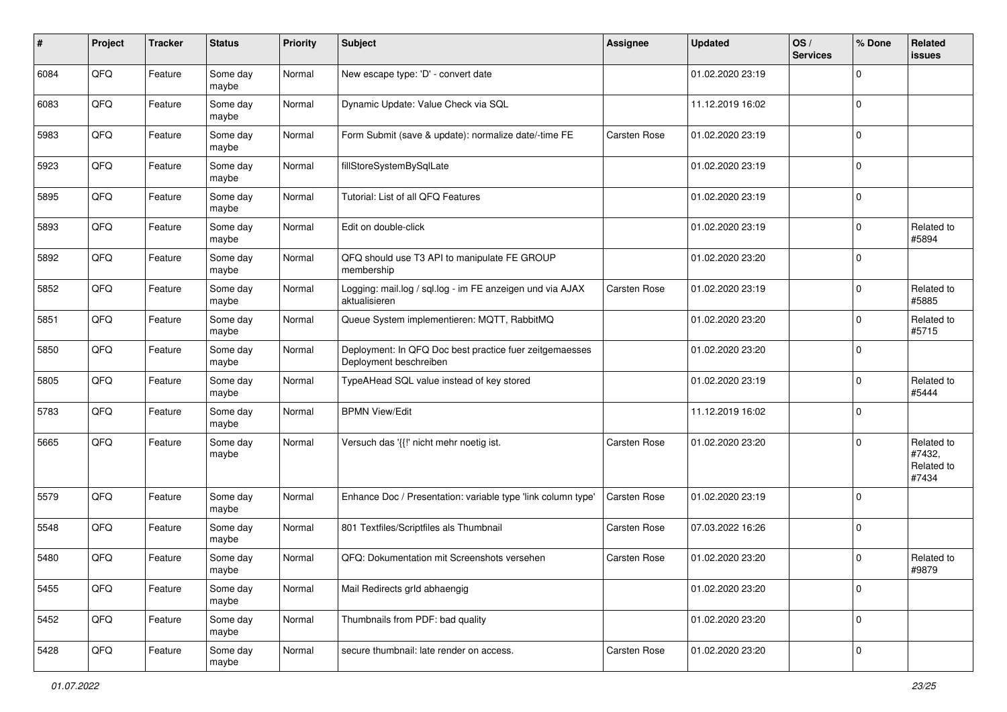| #    | Project | <b>Tracker</b> | <b>Status</b>     | <b>Priority</b> | Subject                                                                           | <b>Assignee</b> | <b>Updated</b>   | OS/<br><b>Services</b> | % Done      | Related<br><b>issues</b>                    |
|------|---------|----------------|-------------------|-----------------|-----------------------------------------------------------------------------------|-----------------|------------------|------------------------|-------------|---------------------------------------------|
| 6084 | QFQ     | Feature        | Some day<br>maybe | Normal          | New escape type: 'D' - convert date                                               |                 | 01.02.2020 23:19 |                        | $\Omega$    |                                             |
| 6083 | QFQ     | Feature        | Some day<br>maybe | Normal          | Dynamic Update: Value Check via SQL                                               |                 | 11.12.2019 16:02 |                        | $\mathbf 0$ |                                             |
| 5983 | QFQ     | Feature        | Some day<br>maybe | Normal          | Form Submit (save & update): normalize date/-time FE                              | Carsten Rose    | 01.02.2020 23:19 |                        | $\mathbf 0$ |                                             |
| 5923 | QFQ     | Feature        | Some day<br>maybe | Normal          | fillStoreSystemBySqlLate                                                          |                 | 01.02.2020 23:19 |                        | $\mathbf 0$ |                                             |
| 5895 | QFQ     | Feature        | Some day<br>maybe | Normal          | Tutorial: List of all QFQ Features                                                |                 | 01.02.2020 23:19 |                        | $\mathbf 0$ |                                             |
| 5893 | QFQ     | Feature        | Some day<br>maybe | Normal          | Edit on double-click                                                              |                 | 01.02.2020 23:19 |                        | $\mathbf 0$ | Related to<br>#5894                         |
| 5892 | QFQ     | Feature        | Some day<br>maybe | Normal          | QFQ should use T3 API to manipulate FE GROUP<br>membership                        |                 | 01.02.2020 23:20 |                        | $\mathbf 0$ |                                             |
| 5852 | QFQ     | Feature        | Some day<br>maybe | Normal          | Logging: mail.log / sql.log - im FE anzeigen und via AJAX<br>aktualisieren        | Carsten Rose    | 01.02.2020 23:19 |                        | $\Omega$    | Related to<br>#5885                         |
| 5851 | QFQ     | Feature        | Some day<br>maybe | Normal          | Queue System implementieren: MQTT, RabbitMQ                                       |                 | 01.02.2020 23:20 |                        | $\mathbf 0$ | Related to<br>#5715                         |
| 5850 | QFQ     | Feature        | Some day<br>maybe | Normal          | Deployment: In QFQ Doc best practice fuer zeitgemaesses<br>Deployment beschreiben |                 | 01.02.2020 23:20 |                        | $\Omega$    |                                             |
| 5805 | QFQ     | Feature        | Some day<br>maybe | Normal          | TypeAHead SQL value instead of key stored                                         |                 | 01.02.2020 23:19 |                        | $\mathbf 0$ | Related to<br>#5444                         |
| 5783 | QFQ     | Feature        | Some day<br>maybe | Normal          | <b>BPMN View/Edit</b>                                                             |                 | 11.12.2019 16:02 |                        | $\mathbf 0$ |                                             |
| 5665 | QFQ     | Feature        | Some day<br>maybe | Normal          | Versuch das '{{!' nicht mehr noetig ist.                                          | Carsten Rose    | 01.02.2020 23:20 |                        | $\mathbf 0$ | Related to<br>#7432,<br>Related to<br>#7434 |
| 5579 | QFQ     | Feature        | Some day<br>maybe | Normal          | Enhance Doc / Presentation: variable type 'link column type'                      | Carsten Rose    | 01.02.2020 23:19 |                        | $\Omega$    |                                             |
| 5548 | QFQ     | Feature        | Some day<br>maybe | Normal          | 801 Textfiles/Scriptfiles als Thumbnail                                           | Carsten Rose    | 07.03.2022 16:26 |                        | $\mathbf 0$ |                                             |
| 5480 | QFQ     | Feature        | Some day<br>maybe | Normal          | QFQ: Dokumentation mit Screenshots versehen                                       | Carsten Rose    | 01.02.2020 23:20 |                        | $\mathbf 0$ | Related to<br>#9879                         |
| 5455 | QFQ     | Feature        | Some day<br>maybe | Normal          | Mail Redirects grld abhaengig                                                     |                 | 01.02.2020 23:20 |                        | $\mathbf 0$ |                                             |
| 5452 | QFQ     | Feature        | Some day<br>maybe | Normal          | Thumbnails from PDF: bad quality                                                  |                 | 01.02.2020 23:20 |                        | $\mathbf 0$ |                                             |
| 5428 | QFQ     | Feature        | Some day<br>maybe | Normal          | secure thumbnail: late render on access.                                          | Carsten Rose    | 01.02.2020 23:20 |                        | $\mathbf 0$ |                                             |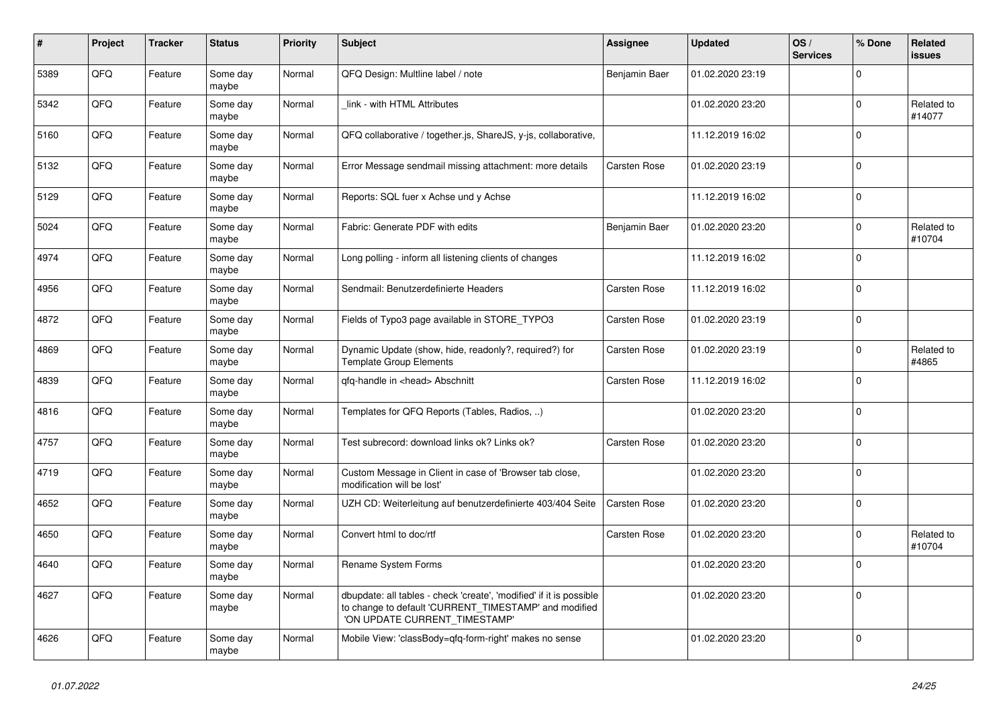| #    | Project | <b>Tracker</b> | <b>Status</b>     | <b>Priority</b> | <b>Subject</b>                                                                                                                                                | <b>Assignee</b> | <b>Updated</b>   | OS/<br><b>Services</b> | % Done      | Related<br>issues    |
|------|---------|----------------|-------------------|-----------------|---------------------------------------------------------------------------------------------------------------------------------------------------------------|-----------------|------------------|------------------------|-------------|----------------------|
| 5389 | QFQ     | Feature        | Some day<br>maybe | Normal          | QFQ Design: Multline label / note                                                                                                                             | Benjamin Baer   | 01.02.2020 23:19 |                        | $\Omega$    |                      |
| 5342 | QFQ     | Feature        | Some day<br>maybe | Normal          | link - with HTML Attributes                                                                                                                                   |                 | 01.02.2020 23:20 |                        | 0           | Related to<br>#14077 |
| 5160 | QFQ     | Feature        | Some day<br>maybe | Normal          | QFQ collaborative / together.js, ShareJS, y-js, collaborative,                                                                                                |                 | 11.12.2019 16:02 |                        | $\Omega$    |                      |
| 5132 | QFQ     | Feature        | Some day<br>maybe | Normal          | Error Message sendmail missing attachment: more details                                                                                                       | Carsten Rose    | 01.02.2020 23:19 |                        | $\Omega$    |                      |
| 5129 | QFQ     | Feature        | Some day<br>maybe | Normal          | Reports: SQL fuer x Achse und y Achse                                                                                                                         |                 | 11.12.2019 16:02 |                        | 0           |                      |
| 5024 | QFQ     | Feature        | Some day<br>maybe | Normal          | Fabric: Generate PDF with edits                                                                                                                               | Benjamin Baer   | 01.02.2020 23:20 |                        | $\mathbf 0$ | Related to<br>#10704 |
| 4974 | QFQ     | Feature        | Some day<br>maybe | Normal          | Long polling - inform all listening clients of changes                                                                                                        |                 | 11.12.2019 16:02 |                        | $\Omega$    |                      |
| 4956 | QFQ     | Feature        | Some day<br>maybe | Normal          | Sendmail: Benutzerdefinierte Headers                                                                                                                          | Carsten Rose    | 11.12.2019 16:02 |                        | $\mathbf 0$ |                      |
| 4872 | QFQ     | Feature        | Some day<br>maybe | Normal          | Fields of Typo3 page available in STORE_TYPO3                                                                                                                 | Carsten Rose    | 01.02.2020 23:19 |                        | $\mathbf 0$ |                      |
| 4869 | QFQ     | Feature        | Some day<br>maybe | Normal          | Dynamic Update (show, hide, readonly?, required?) for<br><b>Template Group Elements</b>                                                                       | Carsten Rose    | 01.02.2020 23:19 |                        | $\Omega$    | Related to<br>#4865  |
| 4839 | QFQ     | Feature        | Some day<br>maybe | Normal          | qfq-handle in <head> Abschnitt</head>                                                                                                                         | Carsten Rose    | 11.12.2019 16:02 |                        | $\mathbf 0$ |                      |
| 4816 | QFQ     | Feature        | Some day<br>maybe | Normal          | Templates for QFQ Reports (Tables, Radios, )                                                                                                                  |                 | 01.02.2020 23:20 |                        | $\Omega$    |                      |
| 4757 | QFQ     | Feature        | Some day<br>maybe | Normal          | Test subrecord: download links ok? Links ok?                                                                                                                  | Carsten Rose    | 01.02.2020 23:20 |                        | $\Omega$    |                      |
| 4719 | QFQ     | Feature        | Some day<br>maybe | Normal          | Custom Message in Client in case of 'Browser tab close,<br>modification will be lost'                                                                         |                 | 01.02.2020 23:20 |                        | $\Omega$    |                      |
| 4652 | QFQ     | Feature        | Some day<br>maybe | Normal          | UZH CD: Weiterleitung auf benutzerdefinierte 403/404 Seite                                                                                                    | Carsten Rose    | 01.02.2020 23:20 |                        | $\Omega$    |                      |
| 4650 | QFQ     | Feature        | Some day<br>maybe | Normal          | Convert html to doc/rtf                                                                                                                                       | Carsten Rose    | 01.02.2020 23:20 |                        | $\mathbf 0$ | Related to<br>#10704 |
| 4640 | QFQ     | Feature        | Some day<br>maybe | Normal          | Rename System Forms                                                                                                                                           |                 | 01.02.2020 23:20 |                        | $\Omega$    |                      |
| 4627 | QFQ     | Feature        | Some day<br>maybe | Normal          | dbupdate: all tables - check 'create', 'modified' if it is possible<br>to change to default 'CURRENT_TIMESTAMP' and modified<br>'ON UPDATE CURRENT_TIMESTAMP' |                 | 01.02.2020 23:20 |                        | $\Omega$    |                      |
| 4626 | QFQ     | Feature        | Some day<br>maybe | Normal          | Mobile View: 'classBody=qfq-form-right' makes no sense                                                                                                        |                 | 01.02.2020 23:20 |                        | $\Omega$    |                      |